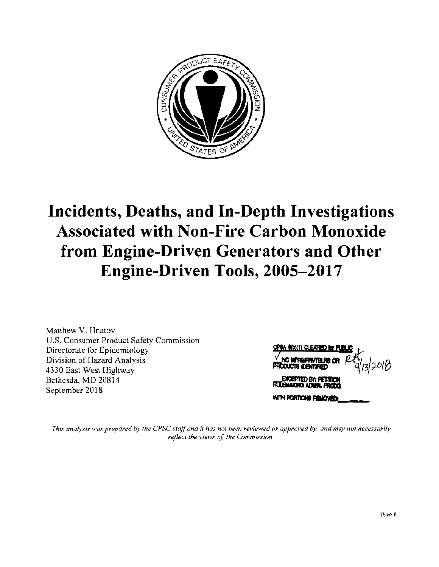

# **Incidents, Deaths, and In-Depth Investigations Associated with Non-Fire Carbon Monoxide from Engine-Driven Generators and Other Engine-Driven Tools, 2005-2017**

Matthew V. Hnatov U.S. Consumer Product Safety Commission Directorate for Epidemiology Division of Hazard Analysis 4330 East West Highway Bethesda, MD 20814 September 2018

13/2018 **TACTR CENTERED** EXCEPTED BY: PETITIO **JEHAKING ADMIN. PRODG** WITH PORTICHE REMOVED.

This analysis was prepared by the CPSC staff and it has not been reviewed or approved by, and may not necessarily reflect the views of, the Commission.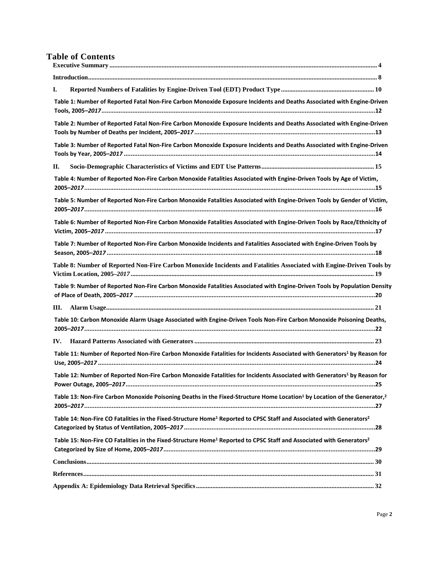## **Table of Contents**

| I.                                                                                                                                               |  |
|--------------------------------------------------------------------------------------------------------------------------------------------------|--|
| Table 1: Number of Reported Fatal Non-Fire Carbon Monoxide Exposure Incidents and Deaths Associated with Engine-Driven                           |  |
| Table 2: Number of Reported Fatal Non-Fire Carbon Monoxide Exposure Incidents and Deaths Associated with Engine-Driven                           |  |
| Table 3: Number of Reported Fatal Non-Fire Carbon Monoxide Exposure Incidents and Deaths Associated with Engine-Driven                           |  |
| П.                                                                                                                                               |  |
| Table 4: Number of Reported Non-Fire Carbon Monoxide Fatalities Associated with Engine-Driven Tools by Age of Victim,                            |  |
| Table 5: Number of Reported Non-Fire Carbon Monoxide Fatalities Associated with Engine-Driven Tools by Gender of Victim,                         |  |
| Table 6: Number of Reported Non-Fire Carbon Monoxide Fatalities Associated with Engine-Driven Tools by Race/Ethnicity of                         |  |
| Table 7: Number of Reported Non-Fire Carbon Monoxide Incidents and Fatalities Associated with Engine-Driven Tools by                             |  |
| Table 8: Number of Reported Non-Fire Carbon Monoxide Incidents and Fatalities Associated with Engine-Driven Tools by                             |  |
| Table 9: Number of Reported Non-Fire Carbon Monoxide Fatalities Associated with Engine-Driven Tools by Population Density                        |  |
| III.                                                                                                                                             |  |
| Table 10: Carbon Monoxide Alarm Usage Associated with Engine-Driven Tools Non-Fire Carbon Monoxide Poisoning Deaths,                             |  |
| IV.                                                                                                                                              |  |
| Table 11: Number of Reported Non-Fire Carbon Monoxide Fatalities for Incidents Associated with Generators <sup>1</sup> by Reason for             |  |
| Table 12: Number of Reported Non-Fire Carbon Monoxide Fatalities for Incidents Associated with Generators <sup>1</sup> by Reason for             |  |
| Table 13: Non-Fire Carbon Monoxide Poisoning Deaths in the Fixed-Structure Home Location <sup>1</sup> by Location of the Generator, <sup>2</sup> |  |
| Table 14: Non-Fire CO Fatalities in the Fixed-Structure Home <sup>1</sup> Reported to CPSC Staff and Associated with Generators <sup>2</sup>     |  |
| Table 15: Non-Fire CO Fatalities in the Fixed-Structure Home <sup>1</sup> Reported to CPSC Staff and Associated with Generators <sup>2</sup>     |  |
|                                                                                                                                                  |  |
|                                                                                                                                                  |  |
|                                                                                                                                                  |  |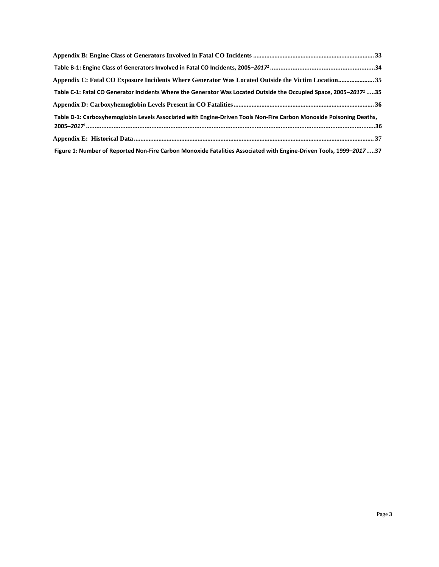| Appendix C: Fatal CO Exposure Incidents Where Generator Was Located Outside the Victim Location 35                            |
|-------------------------------------------------------------------------------------------------------------------------------|
| Table C-1: Fatal CO Generator Incidents Where the Generator Was Located Outside the Occupied Space, 2005–2017 <sup>1</sup> 35 |
|                                                                                                                               |
| Table D-1: Carboxyhemoglobin Levels Associated with Engine-Driven Tools Non-Fire Carbon Monoxide Poisoning Deaths,            |
|                                                                                                                               |
|                                                                                                                               |
| Figure 1: Number of Reported Non-Fire Carbon Monoxide Fatalities Associated with Engine-Driven Tools, 1999–201737             |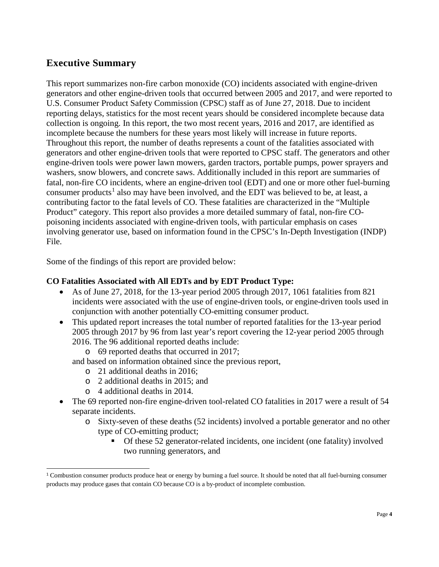# <span id="page-3-0"></span>**Executive Summary**

This report summarizes non-fire carbon monoxide (CO) incidents associated with engine-driven generators and other engine-driven tools that occurred between 2005 and 2017, and were reported to U.S. Consumer Product Safety Commission (CPSC) staff as of June 27, 2018. Due to incident reporting delays, statistics for the most recent years should be considered incomplete because data collection is ongoing. In this report, the two most recent years, 2016 and 2017, are identified as incomplete because the numbers for these years most likely will increase in future reports. Throughout this report, the number of deaths represents a count of the fatalities associated with generators and other engine-driven tools that were reported to CPSC staff. The generators and other engine-driven tools were power lawn mowers, garden tractors, portable pumps, power sprayers and washers, snow blowers, and concrete saws. Additionally included in this report are summaries of fatal, non-fire CO incidents, where an engine-driven tool (EDT) and one or more other fuel-burning consumer products<sup>[1](#page-3-1)</sup> also may have been involved, and the EDT was believed to be, at least, a contributing factor to the fatal levels of CO. These fatalities are characterized in the "Multiple Product" category. This report also provides a more detailed summary of fatal, non-fire COpoisoning incidents associated with engine-driven tools, with particular emphasis on cases involving generator use, based on information found in the CPSC's In-Depth Investigation (INDP) File.

Some of the findings of this report are provided below:

## **CO Fatalities Associated with All EDTs and by EDT Product Type:**

- As of June 27, 2018, for the 13-year period 2005 through 2017, 1061 fatalities from 821 incidents were associated with the use of engine-driven tools, or engine-driven tools used in conjunction with another potentially CO-emitting consumer product.
- This updated report increases the total number of reported fatalities for the 13-year period 2005 through 2017 by 96 from last year's report covering the 12-year period 2005 through 2016. The 96 additional reported deaths include:

o 69 reported deaths that occurred in 2017;

and based on information obtained since the previous report,

- o 21 additional deaths in 2016;
- o 2 additional deaths in 2015; and
- o 4 additional deaths in 2014.

 $\overline{a}$ 

- The 69 reported non-fire engine-driven tool-related CO fatalities in 2017 were a result of 54 separate incidents.
	- o Sixty-seven of these deaths (52 incidents) involved a portable generator and no other type of CO-emitting product;
		- Of these 52 generator-related incidents, one incident (one fatality) involved two running generators, and

<span id="page-3-1"></span><sup>1</sup> Combustion consumer products produce heat or energy by burning a fuel source. It should be noted that all fuel-burning consumer products may produce gases that contain CO because CO is a by-product of incomplete combustion.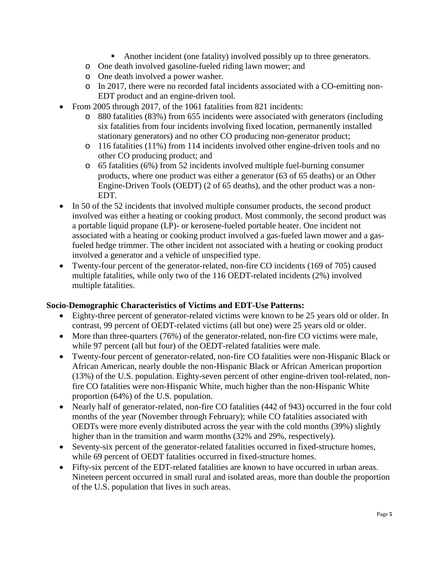- Another incident (one fatality) involved possibly up to three generators.
- o One death involved gasoline-fueled riding lawn mower; and
- o One death involved a power washer.
- o In 2017, there were no recorded fatal incidents associated with a CO-emitting non-EDT product and an engine-driven tool.
- From 2005 through 2017, of the 1061 fatalities from 821 incidents:
	- o 880 fatalities (83%) from 655 incidents were associated with generators (including six fatalities from four incidents involving fixed location, permanently installed stationary generators) and no other CO producing non-generator product;
	- o 116 fatalities (11%) from 114 incidents involved other engine-driven tools and no other CO producing product; and
	- o 65 fatalities (6%) from 52 incidents involved multiple fuel-burning consumer products, where one product was either a generator (63 of 65 deaths) or an Other Engine-Driven Tools (OEDT) (2 of 65 deaths), and the other product was a non-EDT.
- In 50 of the 52 incidents that involved multiple consumer products, the second product involved was either a heating or cooking product. Most commonly, the second product was a portable liquid propane (LP)- or kerosene-fueled portable heater. One incident not associated with a heating or cooking product involved a gas-fueled lawn mower and a gasfueled hedge trimmer. The other incident not associated with a heating or cooking product involved a generator and a vehicle of unspecified type.
- Twenty-four percent of the generator-related, non-fire CO incidents (169 of 705) caused multiple fatalities, while only two of the 116 OEDT-related incidents (2%) involved multiple fatalities.

#### **Socio-Demographic Characteristics of Victims and EDT-Use Patterns:**

- Eighty-three percent of generator-related victims were known to be 25 years old or older. In contrast, 99 percent of OEDT-related victims (all but one) were 25 years old or older.
- More than three-quarters (76%) of the generator-related, non-fire CO victims were male, while 97 percent (all but four) of the OEDT-related fatalities were male.
- Twenty-four percent of generator-related, non-fire CO fatalities were non-Hispanic Black or African American, nearly double the non-Hispanic Black or African American proportion (13%) of the U.S. population. Eighty-seven percent of other engine-driven tool-related, nonfire CO fatalities were non-Hispanic White, much higher than the non-Hispanic White proportion (64%) of the U.S. population.
- Nearly half of generator-related, non-fire CO fatalities (442 of 943) occurred in the four cold months of the year (November through February); while CO fatalities associated with OEDTs were more evenly distributed across the year with the cold months (39%) slightly higher than in the transition and warm months (32% and 29%, respectively).
- Seventy-six percent of the generator-related fatalities occurred in fixed-structure homes, while 69 percent of OEDT fatalities occurred in fixed-structure homes.
- Fifty-six percent of the EDT-related fatalities are known to have occurred in urban areas. Nineteen percent occurred in small rural and isolated areas, more than double the proportion of the U.S. population that lives in such areas.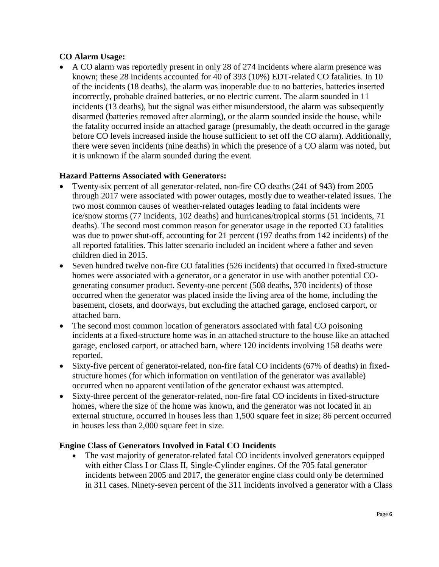## **CO Alarm Usage:**

• A CO alarm was reportedly present in only 28 of 274 incidents where alarm presence was known; these 28 incidents accounted for 40 of 393 (10%) EDT-related CO fatalities. In 10 of the incidents (18 deaths), the alarm was inoperable due to no batteries, batteries inserted incorrectly, probable drained batteries, or no electric current. The alarm sounded in 11 incidents (13 deaths), but the signal was either misunderstood, the alarm was subsequently disarmed (batteries removed after alarming), or the alarm sounded inside the house, while the fatality occurred inside an attached garage (presumably, the death occurred in the garage before CO levels increased inside the house sufficient to set off the CO alarm). Additionally, there were seven incidents (nine deaths) in which the presence of a CO alarm was noted, but it is unknown if the alarm sounded during the event.

#### **Hazard Patterns Associated with Generators:**

- Twenty-six percent of all generator-related, non-fire CO deaths (241 of 943) from 2005 through 2017 were associated with power outages, mostly due to weather-related issues. The two most common causes of weather-related outages leading to fatal incidents were ice/snow storms (77 incidents, 102 deaths) and hurricanes/tropical storms (51 incidents, 71 deaths). The second most common reason for generator usage in the reported CO fatalities was due to power shut-off, accounting for 21 percent (197 deaths from 142 incidents) of the all reported fatalities. This latter scenario included an incident where a father and seven children died in 2015.
- Seven hundred twelve non-fire CO fatalities (526 incidents) that occurred in fixed-structure homes were associated with a generator, or a generator in use with another potential COgenerating consumer product. Seventy-one percent (508 deaths, 370 incidents) of those occurred when the generator was placed inside the living area of the home, including the basement, closets, and doorways, but excluding the attached garage, enclosed carport, or attached barn.
- The second most common location of generators associated with fatal CO poisoning incidents at a fixed-structure home was in an attached structure to the house like an attached garage, enclosed carport, or attached barn, where 120 incidents involving 158 deaths were reported.
- Sixty-five percent of generator-related, non-fire fatal CO incidents (67% of deaths) in fixedstructure homes (for which information on ventilation of the generator was available) occurred when no apparent ventilation of the generator exhaust was attempted.
- Sixty-three percent of the generator-related, non-fire fatal CO incidents in fixed-structure homes, where the size of the home was known, and the generator was not located in an external structure, occurred in houses less than 1,500 square feet in size; 86 percent occurred in houses less than 2,000 square feet in size.

#### **Engine Class of Generators Involved in Fatal CO Incidents**

• The vast majority of generator-related fatal CO incidents involved generators equipped with either Class I or Class II, Single-Cylinder engines. Of the 705 fatal generator incidents between 2005 and 2017, the generator engine class could only be determined in 311 cases. Ninety-seven percent of the 311 incidents involved a generator with a Class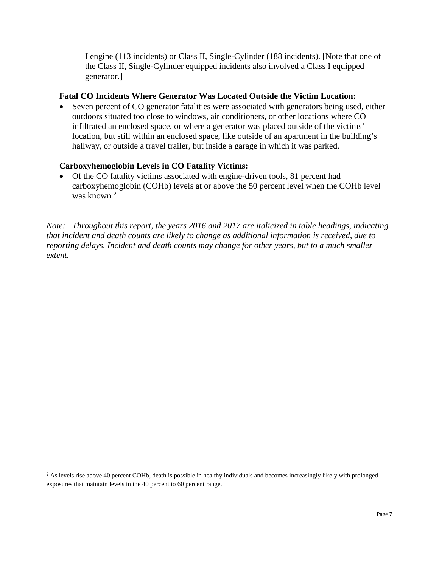I engine (113 incidents) or Class II, Single-Cylinder (188 incidents). [Note that one of the Class II, Single-Cylinder equipped incidents also involved a Class I equipped generator.]

## **Fatal CO Incidents Where Generator Was Located Outside the Victim Location:**

• Seven percent of CO generator fatalities were associated with generators being used, either outdoors situated too close to windows, air conditioners, or other locations where CO infiltrated an enclosed space, or where a generator was placed outside of the victims' location, but still within an enclosed space, like outside of an apartment in the building's hallway, or outside a travel trailer, but inside a garage in which it was parked.

## **Carboxyhemoglobin Levels in CO Fatality Victims:**

• Of the CO fatality victims associated with engine-driven tools, 81 percent had carboxyhemoglobin (COHb) levels at or above the 50 percent level when the COHb level was known. [2](#page-6-0)

*Note: Throughout this report, the years 2016 and 2017 are italicized in table headings, indicating that incident and death counts are likely to change as additional information is received, due to reporting delays. Incident and death counts may change for other years, but to a much smaller extent.*

<span id="page-6-0"></span><sup>&</sup>lt;sup>2</sup> As levels rise above 40 percent COHb, death is possible in healthy individuals and becomes increasingly likely with prolonged exposures that maintain levels in the 40 percent to 60 percent range.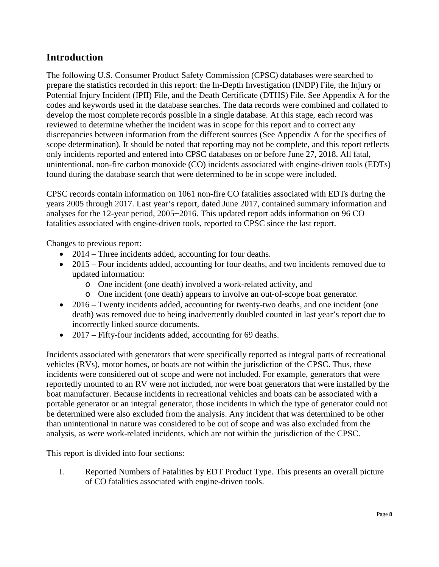# <span id="page-7-0"></span>**Introduction**

The following U.S. Consumer Product Safety Commission (CPSC) databases were searched to prepare the statistics recorded in this report: the In-Depth Investigation (INDP) File, the Injury or Potential Injury Incident (IPII) File, and the Death Certificate (DTHS) File. See Appendix A for the codes and keywords used in the database searches. The data records were combined and collated to develop the most complete records possible in a single database. At this stage, each record was reviewed to determine whether the incident was in scope for this report and to correct any discrepancies between information from the different sources (See Appendix A for the specifics of scope determination). It should be noted that reporting may not be complete, and this report reflects only incidents reported and entered into CPSC databases on or before June 27, 2018. All fatal, unintentional, non-fire carbon monoxide (CO) incidents associated with engine-driven tools (EDTs) found during the database search that were determined to be in scope were included.

CPSC records contain information on 1061 non-fire CO fatalities associated with EDTs during the years 2005 through 2017. Last year's report, dated June 2017, contained summary information and analyses for the 12-year period, 2005−2016. This updated report adds information on 96 CO fatalities associated with engine-driven tools, reported to CPSC since the last report.

Changes to previous report:

- 2014 Three incidents added, accounting for four deaths.
- 2015 Four incidents added, accounting for four deaths, and two incidents removed due to updated information:
	- o One incident (one death) involved a work-related activity, and
	- o One incident (one death) appears to involve an out-of-scope boat generator.
- 2016 Twenty incidents added, accounting for twenty-two deaths, and one incident (one death) was removed due to being inadvertently doubled counted in last year's report due to incorrectly linked source documents.
- 2017 Fifty-four incidents added, accounting for 69 deaths.

Incidents associated with generators that were specifically reported as integral parts of recreational vehicles (RVs), motor homes, or boats are not within the jurisdiction of the CPSC. Thus, these incidents were considered out of scope and were not included. For example, generators that were reportedly mounted to an RV were not included, nor were boat generators that were installed by the boat manufacturer. Because incidents in recreational vehicles and boats can be associated with a portable generator or an integral generator, those incidents in which the type of generator could not be determined were also excluded from the analysis. Any incident that was determined to be other than unintentional in nature was considered to be out of scope and was also excluded from the analysis, as were work-related incidents, which are not within the jurisdiction of the CPSC.

This report is divided into four sections:

I. Reported Numbers of Fatalities by EDT Product Type. This presents an overall picture of CO fatalities associated with engine-driven tools.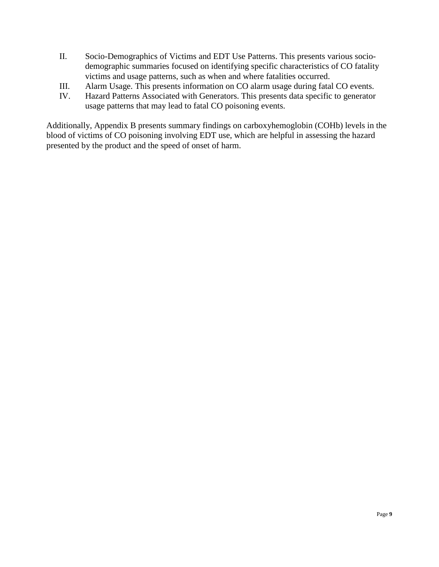- II. Socio-Demographics of Victims and EDT Use Patterns. This presents various sociodemographic summaries focused on identifying specific characteristics of CO fatality victims and usage patterns, such as when and where fatalities occurred.
- III. Alarm Usage. This presents information on CO alarm usage during fatal CO events.
- IV. Hazard Patterns Associated with Generators. This presents data specific to generator usage patterns that may lead to fatal CO poisoning events.

Additionally, Appendix B presents summary findings on carboxyhemoglobin (COHb) levels in the blood of victims of CO poisoning involving EDT use, which are helpful in assessing the hazard presented by the product and the speed of onset of harm.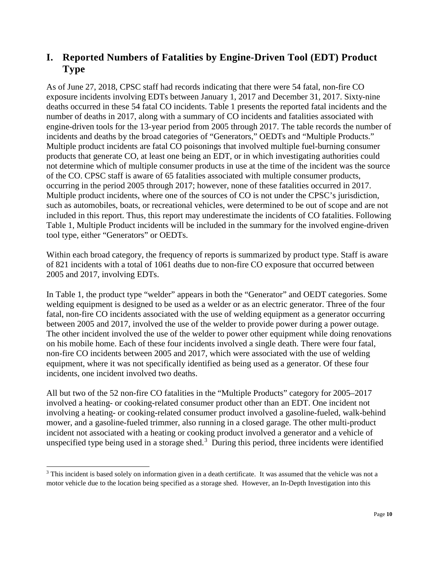# <span id="page-9-0"></span>**I. Reported Numbers of Fatalities by Engine-Driven Tool (EDT) Product Type**

As of June 27, 2018, CPSC staff had records indicating that there were 54 fatal, non-fire CO exposure incidents involving EDTs between January 1, 2017 and December 31, 2017. Sixty-nine deaths occurred in these 54 fatal CO incidents. Table 1 presents the reported fatal incidents and the number of deaths in 2017, along with a summary of CO incidents and fatalities associated with engine-driven tools for the 13-year period from 2005 through 2017. The table records the number of incidents and deaths by the broad categories of "Generators," OEDTs and "Multiple Products." Multiple product incidents are fatal CO poisonings that involved multiple fuel-burning consumer products that generate CO, at least one being an EDT, or in which investigating authorities could not determine which of multiple consumer products in use at the time of the incident was the source of the CO. CPSC staff is aware of 65 fatalities associated with multiple consumer products, occurring in the period 2005 through 2017; however, none of these fatalities occurred in 2017. Multiple product incidents, where one of the sources of CO is not under the CPSC's jurisdiction, such as automobiles, boats, or recreational vehicles, were determined to be out of scope and are not included in this report. Thus, this report may underestimate the incidents of CO fatalities. Following Table 1, Multiple Product incidents will be included in the summary for the involved engine-driven tool type, either "Generators" or OEDTs.

Within each broad category, the frequency of reports is summarized by product type. Staff is aware of 821 incidents with a total of 1061 deaths due to non-fire CO exposure that occurred between 2005 and 2017, involving EDTs.

In Table 1, the product type "welder" appears in both the "Generator" and OEDT categories. Some welding equipment is designed to be used as a welder or as an electric generator. Three of the four fatal, non-fire CO incidents associated with the use of welding equipment as a generator occurring between 2005 and 2017, involved the use of the welder to provide power during a power outage. The other incident involved the use of the welder to power other equipment while doing renovations on his mobile home. Each of these four incidents involved a single death. There were four fatal, non-fire CO incidents between 2005 and 2017, which were associated with the use of welding equipment, where it was not specifically identified as being used as a generator. Of these four incidents, one incident involved two deaths.

All but two of the 52 non-fire CO fatalities in the "Multiple Products" category for 2005–2017 involved a heating- or cooking-related consumer product other than an EDT. One incident not involving a heating- or cooking-related consumer product involved a gasoline-fueled, walk-behind mower, and a gasoline-fueled trimmer, also running in a closed garage. The other multi-product incident not associated with a heating or cooking product involved a generator and a vehicle of unspecified type being used in a storage shed. $3$  During this period, three incidents were identified

<span id="page-9-1"></span><sup>&</sup>lt;sup>3</sup> This incident is based solely on information given in a death certificate. It was assumed that the vehicle was not a motor vehicle due to the location being specified as a storage shed. However, an In-Depth Investigation into this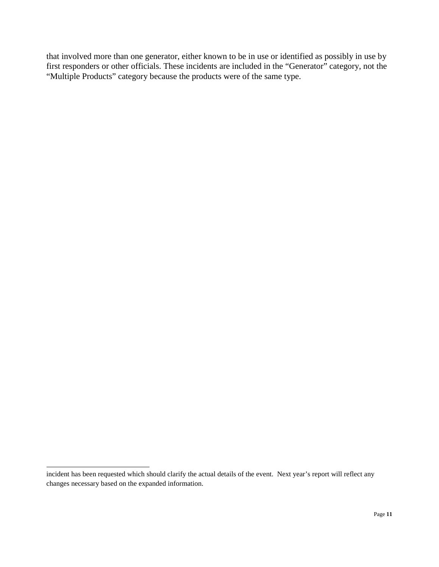that involved more than one generator, either known to be in use or identified as possibly in use by first responders or other officials. These incidents are included in the "Generator" category, not the "Multiple Products" category because the products were of the same type.

 $\overline{a}$ 

incident has been requested which should clarify the actual details of the event. Next year's report will reflect any changes necessary based on the expanded information.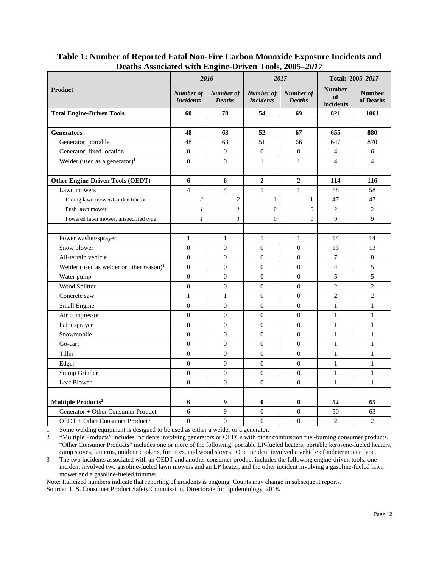| $D$ catholic robbetated with $L_{\text{H}}$ $L_{\text{H}}$ $L_{\text{H}}$ of $L_{\text{H}}$ $L_{\text{H}}$ $L_{\text{H}}$ |                               | 2016                       |                               | 2017                       | Total: 2005-2017                        |                            |  |
|---------------------------------------------------------------------------------------------------------------------------|-------------------------------|----------------------------|-------------------------------|----------------------------|-----------------------------------------|----------------------------|--|
| <b>Product</b>                                                                                                            | Number of<br><b>Incidents</b> | Number of<br><b>Deaths</b> | Number of<br><b>Incidents</b> | Number of<br><b>Deaths</b> | <b>Number</b><br>of<br><b>Incidents</b> | <b>Number</b><br>of Deaths |  |
| <b>Total Engine-Driven Tools</b>                                                                                          | 60                            | 78                         | 54                            | 69                         | 821                                     | 1061                       |  |
|                                                                                                                           |                               |                            |                               |                            |                                         |                            |  |
| <b>Generators</b>                                                                                                         | 48                            | 63                         | 52                            | 67                         | 655                                     | 880                        |  |
| Generator, portable                                                                                                       | 48                            | 63                         | 51                            | 66                         | 647                                     | 870                        |  |
| Generator, fixed location                                                                                                 | $\boldsymbol{0}$              | $\boldsymbol{0}$           | $\boldsymbol{0}$              | $\boldsymbol{0}$           | 4                                       | 6                          |  |
| Welder (used as a generator) <sup>1</sup>                                                                                 | $\boldsymbol{0}$              | $\boldsymbol{0}$           | $\mathbf{1}$                  | $\mathbf{1}$               | $\overline{4}$                          | $\overline{4}$             |  |
|                                                                                                                           |                               |                            |                               |                            |                                         |                            |  |
| <b>Other Engine-Driven Tools (OEDT)</b>                                                                                   | 6                             | 6                          | $\boldsymbol{2}$              | $\boldsymbol{2}$           | 114                                     | 116                        |  |
| Lawn mowers                                                                                                               | $\overline{4}$                | $\overline{4}$             | $\mathbf{1}$                  | $\mathbf{1}$               | 58                                      | 58                         |  |
| Riding lawn mower/Garden tractor                                                                                          | $\overline{c}$                | $\overline{c}$             | $\mathbf{1}$                  | 1                          | 47                                      | 47                         |  |
| Push lawn mower                                                                                                           | 1                             | 1                          | $\overline{0}$                | $\mathbf{0}$               | $\mathfrak{2}$                          | 2                          |  |
| Powered lawn mower, unspecified type                                                                                      | $\boldsymbol{l}$              | $\boldsymbol{l}$           | $\overline{0}$                | $\overline{0}$             | 9                                       | 9                          |  |
|                                                                                                                           |                               |                            |                               |                            |                                         |                            |  |
| Power washer/sprayer                                                                                                      | $\mathbf{1}$                  | $\mathbf{1}$               | $\mathbf{1}$                  | $\mathbf{1}$               | 14                                      | 14                         |  |
| Snow blower                                                                                                               | $\overline{0}$                | $\overline{0}$             | $\theta$                      | $\theta$                   | 13                                      | 13                         |  |
| All-terrain vehicle                                                                                                       | $\overline{0}$                | $\overline{0}$             | $\theta$                      | $\theta$                   | $\boldsymbol{7}$                        | $\,8\,$                    |  |
| Welder (used as welder or other reason) $1$                                                                               | $\theta$                      | $\overline{0}$             | $\theta$                      | $\theta$                   | $\overline{4}$                          | 5                          |  |
| Water pump                                                                                                                | $\boldsymbol{0}$              | $\boldsymbol{0}$           | $\boldsymbol{0}$              | $\boldsymbol{0}$           | $\sqrt{5}$                              | $\sqrt{5}$                 |  |
| Wood Splitter                                                                                                             | $\mathbf{0}$                  | $\mathbf{0}$               | $\mathbf{0}$                  | $\mathbf{0}$               | $\overline{2}$                          | $\overline{c}$             |  |
| Concrete saw                                                                                                              | $\mathbf{1}$                  | $\mathbf{1}$               | $\theta$                      | $\theta$                   | $\overline{2}$                          | $\overline{c}$             |  |
| Small Engine                                                                                                              | $\theta$                      | $\overline{0}$             | $\theta$                      | $\theta$                   | $\mathbf{1}$                            | $\mathbf{1}$               |  |
| Air compressor                                                                                                            | $\boldsymbol{0}$              | $\boldsymbol{0}$           | $\boldsymbol{0}$              | $\boldsymbol{0}$           | $\mathbf{1}$                            | $\mathbf{1}$               |  |
| Paint sprayer                                                                                                             | $\theta$                      | $\overline{0}$             | $\theta$                      | $\theta$                   | $\mathbf{1}$                            | $\mathbf{1}$               |  |
| Snowmobile                                                                                                                | $\theta$                      | $\overline{0}$             | $\theta$                      | $\theta$                   | $\mathbf{1}$                            | $\mathbf{1}$               |  |
| Go-cart                                                                                                                   | $\boldsymbol{0}$              | $\boldsymbol{0}$           | $\theta$                      | $\theta$                   | $\mathbf{1}$                            | 1                          |  |
| Tiller                                                                                                                    | $\boldsymbol{0}$              | $\boldsymbol{0}$           | $\boldsymbol{0}$              | $\boldsymbol{0}$           | $\mathbf{1}$                            | 1                          |  |
| Edger                                                                                                                     | $\overline{0}$                | $\overline{0}$             | $\overline{0}$                | $\theta$                   | $\mathbf{1}$                            | 1                          |  |
| Stump Grinder                                                                                                             | $\theta$                      | $\overline{0}$             | $\theta$                      | $\theta$                   | $\mathbf{1}$                            | $\mathbf{1}$               |  |
| Leaf Blower                                                                                                               | $\mathbf{0}$                  | $\theta$                   | $\theta$                      | $\boldsymbol{0}$           | $\mathbf{1}$                            | 1                          |  |
|                                                                                                                           |                               |                            |                               |                            |                                         |                            |  |
| Multiple $\bf Products^2$                                                                                                 | 6                             | 9                          | $\bf{0}$                      | $\bf{0}$                   | 52                                      | 65                         |  |
| Generator + Other Consumer Product                                                                                        | 6                             | 9                          | $\theta$                      | $\boldsymbol{0}$           | 50                                      | 63                         |  |
| OEDT + Other Consumer Product <sup>3</sup>                                                                                | $\overline{0}$                | $\overline{0}$             | $\boldsymbol{0}$              | $\boldsymbol{0}$           | $\overline{2}$                          | $\overline{2}$             |  |

<span id="page-11-0"></span>**Table 1: Number of Reported Fatal Non-Fire Carbon Monoxide Exposure Incidents and Deaths Associated with Engine-Driven Tools, 2005–***2017*

1 Some welding equipment is designed to be used as either a welder or a generator.<br>2 "Multiple Products" includes incidents involving generators or OEDTs with other

"Multiple Products" includes incidents involving generators or OEDTs with other combustion fuel-burning consumer products. "Other Consumer Products" includes one or more of the following: portable LP-fueled heaters, portable kerosene-fueled heaters, camp stoves, lanterns, outdoor cookers, furnaces, and wood stoves. One incident involved a vehicle of indeterminate type.

3 The two incidents associated with an OEDT and another consumer product includes the following engine-driven tools: one incident involved two gasoline-fueled lawn mowers and an LP heater, and the other incident involving a gasoline-fueled lawn mower and a gasoline-fueled trimmer.

Note: Italicized numbers indicate that reporting of incidents is ongoing. Counts may change in subsequent reports. Source: U.S. Consumer Product Safety Commission, Directorate for Epidemiology, 2018.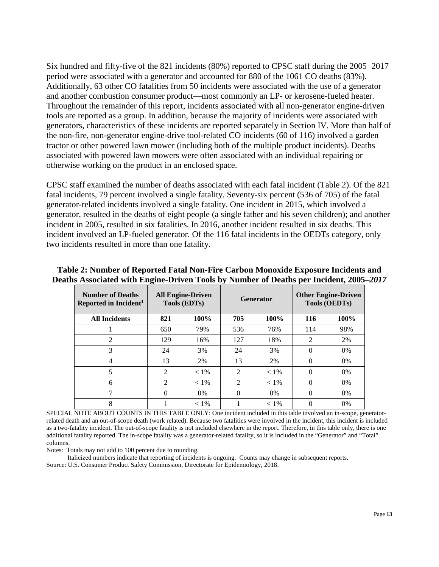Six hundred and fifty-five of the 821 incidents (80%) reported to CPSC staff during the 2005−2017 period were associated with a generator and accounted for 880 of the 1061 CO deaths (83%). Additionally, 63 other CO fatalities from 50 incidents were associated with the use of a generator and another combustion consumer product—most commonly an LP- or kerosene-fueled heater. Throughout the remainder of this report, incidents associated with all non-generator engine-driven tools are reported as a group. In addition, because the majority of incidents were associated with generators, characteristics of these incidents are reported separately in Section IV. More than half of the non-fire, non-generator engine-drive tool-related CO incidents (60 of 116) involved a garden tractor or other powered lawn mower (including both of the multiple product incidents). Deaths associated with powered lawn mowers were often associated with an individual repairing or otherwise working on the product in an enclosed space.

CPSC staff examined the number of deaths associated with each fatal incident (Table 2). Of the 821 fatal incidents, 79 percent involved a single fatality. Seventy-six percent (536 of 705) of the fatal generator-related incidents involved a single fatality. One incident in 2015, which involved a generator, resulted in the deaths of eight people (a single father and his seven children); and another incident in 2005, resulted in six fatalities. In 2016, another incident resulted in six deaths. This incident involved an LP-fueled generator. Of the 116 fatal incidents in the OEDTs category, only two incidents resulted in more than one fatality.

| <b>Number of Deaths</b><br>Reported in Incident <sup>1</sup> |                | <b>All Engine-Driven</b><br><b>Generator</b><br><b>Tools (EDTs)</b> |                |         |                | <b>Other Engine-Driven</b><br><b>Tools (OEDTs)</b> |
|--------------------------------------------------------------|----------------|---------------------------------------------------------------------|----------------|---------|----------------|----------------------------------------------------|
| <b>All Incidents</b>                                         | 821            | $100\%$                                                             | 705            | 100%    | 116            | 100%                                               |
|                                                              | 650            | 79%                                                                 | 536            | 76%     | 114            | 98%                                                |
| $\overline{c}$                                               | 129            | 16%                                                                 | 127            | 18%     | $\mathfrak{D}$ | 2%                                                 |
| 3                                                            | 24             | 3%                                                                  | 24             | 3%      | 0              | $0\%$                                              |
| 4                                                            | 13             | 2%                                                                  | 13             | 2%      | 0              | $0\%$                                              |
| 5                                                            | 2              | $< 1\%$                                                             | $\overline{2}$ | $< 1\%$ | 0              | $0\%$                                              |
| 6                                                            | $\mathfrak{D}$ | $< 1\%$                                                             | $\overline{2}$ | $< 1\%$ | 0              | $0\%$                                              |
|                                                              |                | 0%                                                                  | $\theta$       | $0\%$   | 0              | $0\%$                                              |
| 8                                                            |                | $< 1\%$                                                             |                | $< 1\%$ |                | $0\%$                                              |

## <span id="page-12-0"></span>**Table 2: Number of Reported Fatal Non-Fire Carbon Monoxide Exposure Incidents and Deaths Associated with Engine-Driven Tools by Number of Deaths per Incident, 2005–***2017*

SPECIAL NOTE ABOUT COUNTS IN THIS TABLE ONLY: One incident included in this table involved an in-scope, generatorrelated death and an out-of-scope death (work related). Because two fatalities were involved in the incident, this incident is included as a two-fatality incident. The out-of-scope fatality is not included elsewhere in the report. Therefore, in this table only, there is one additional fatality reported. The in-scope fatality was a generator-related fatality, so it is included in the "Generator" and "Total" columns.

Notes: Totals may not add to 100 percent due to rounding.

 Italicized numbers indicate that reporting of incidents is ongoing. Counts may change in subsequent reports. Source: U.S. Consumer Product Safety Commission, Directorate for Epidemiology, 2018.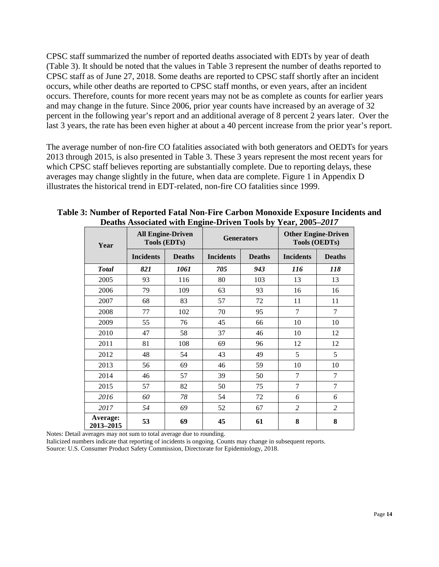CPSC staff summarized the number of reported deaths associated with EDTs by year of death (Table 3). It should be noted that the values in Table 3 represent the number of deaths reported to CPSC staff as of June 27, 2018. Some deaths are reported to CPSC staff shortly after an incident occurs, while other deaths are reported to CPSC staff months, or even years, after an incident occurs. Therefore, counts for more recent years may not be as complete as counts for earlier years and may change in the future. Since 2006, prior year counts have increased by an average of 32 percent in the following year's report and an additional average of 8 percent 2 years later. Over the last 3 years, the rate has been even higher at about a 40 percent increase from the prior year's report.

The average number of non-fire CO fatalities associated with both generators and OEDTs for years 2013 through 2015, is also presented in Table 3. These 3 years represent the most recent years for which CPSC staff believes reporting are substantially complete. Due to reporting delays, these averages may change slightly in the future, when data are complete. Figure 1 in Appendix D illustrates the historical trend in EDT-related, non-fire CO fatalities since 1999.

| Year                  | <b>Tools (EDTs)</b> | <b>All Engine-Driven</b> |                                   | <b>Generators</b> | <b>Other Engine-Driven</b><br><b>Tools (OEDTs)</b> |                |  |
|-----------------------|---------------------|--------------------------|-----------------------------------|-------------------|----------------------------------------------------|----------------|--|
|                       | <b>Incidents</b>    | <b>Deaths</b>            | <b>Incidents</b><br><b>Deaths</b> |                   | <b>Incidents</b>                                   | <b>Deaths</b>  |  |
| <b>Total</b>          | 821                 | 1061                     | 705                               | 943               | 116                                                | 118            |  |
| 2005                  | 93                  | 116                      | 80                                | 103               | 13                                                 | 13             |  |
| 2006                  | 79                  | 109                      | 63                                | 93                | 16                                                 | 16             |  |
| 2007                  | 68                  | 83                       | 57                                | 72                | 11                                                 | 11             |  |
| 2008                  | 77                  | 102                      | 70                                | 95                | $\overline{7}$                                     | 7              |  |
| 2009                  | 55                  | 76                       | 45                                | 66                | 10                                                 | 10             |  |
| 2010                  | 47                  | 58                       | 37                                | 46                | 10                                                 | 12             |  |
| 2011                  | 81                  | 108                      | 69                                | 96                | 12                                                 | 12             |  |
| 2012                  | 48                  | 54                       | 43                                | 49                | 5                                                  | 5              |  |
| 2013                  | 56                  | 69                       | 46                                | 59                | 10                                                 | 10             |  |
| 2014                  | 46                  | 57                       | 39                                | 50                | $\overline{7}$                                     | 7              |  |
| 2015                  | 57                  | 82                       | 50                                | 75                | $\overline{7}$                                     | 7              |  |
| 2016                  | 60                  | 78                       | 54                                | 72                | 6                                                  | 6              |  |
| 2017                  | 54                  | 69                       | 52                                | 67                | $\overline{2}$                                     | $\overline{c}$ |  |
| Average:<br>2013-2015 | 53                  | 69                       | 45                                | 61                | 8                                                  | 8              |  |

<span id="page-13-0"></span>**Table 3: Number of Reported Fatal Non-Fire Carbon Monoxide Exposure Incidents and Deaths Associated with Engine-Driven Tools by Year, 2005–***2017*

Notes: Detail averages may not sum to total average due to rounding.

Italicized numbers indicate that reporting of incidents is ongoing. Counts may change in subsequent reports.

Source: U.S. Consumer Product Safety Commission, Directorate for Epidemiology, 2018.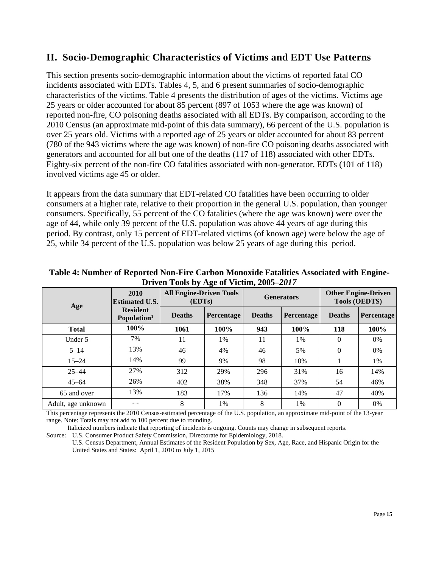## <span id="page-14-0"></span>**II. Socio-Demographic Characteristics of Victims and EDT Use Patterns**

This section presents socio-demographic information about the victims of reported fatal CO incidents associated with EDTs. Tables 4, 5, and 6 present summaries of socio-demographic characteristics of the victims. Table 4 presents the distribution of ages of the victims. Victims age 25 years or older accounted for about 85 percent (897 of 1053 where the age was known) of reported non-fire, CO poisoning deaths associated with all EDTs. By comparison, according to the 2010 Census (an approximate mid-point of this data summary), 66 percent of the U.S. population is over 25 years old. Victims with a reported age of 25 years or older accounted for about 83 percent (780 of the 943 victims where the age was known) of non-fire CO poisoning deaths associated with generators and accounted for all but one of the deaths (117 of 118) associated with other EDTs. Eighty-six percent of the non-fire CO fatalities associated with non-generator, EDTs (101 of 118) involved victims age 45 or older.

It appears from the data summary that EDT-related CO fatalities have been occurring to older consumers at a higher rate, relative to their proportion in the general U.S. population, than younger consumers. Specifically, 55 percent of the CO fatalities (where the age was known) were over the age of 44, while only 39 percent of the U.S. population was above 44 years of age during this period. By contrast, only 15 percent of EDT-related victims (of known age) were below the age of 25, while 34 percent of the U.S. population was below 25 years of age during this period.

| Age                | 2010<br><b>Estimated U.S.</b>              | <b>All Engine-Driven Tools</b><br>(EDTs) |            |               | <b>Generators</b> | <b>Other Engine-Driven</b><br><b>Tools (OEDTS)</b> |            |  |  |  |
|--------------------|--------------------------------------------|------------------------------------------|------------|---------------|-------------------|----------------------------------------------------|------------|--|--|--|
|                    | <b>Resident</b><br>Population <sup>1</sup> | <b>Deaths</b>                            | Percentage | <b>Deaths</b> | Percentage        | <b>Deaths</b>                                      | Percentage |  |  |  |
| <b>Total</b>       | 100%                                       | 1061                                     | 100%       | 943           | 100%              | 118                                                | 100%       |  |  |  |
| Under 5            | 7%                                         | 11                                       | 1%         | 11            | 1%                | $\theta$                                           | 0%         |  |  |  |
| $5 - 14$           | 13%                                        | 46                                       | 4%         | 46            | 5%                | $\theta$                                           | 0%         |  |  |  |
| $15 - 24$          | 14%                                        | 99                                       | 9%         | 98            | 10%               |                                                    | 1%         |  |  |  |
| $25 - 44$          | 27%                                        | 312                                      | 29%        | 296           | 31%               | 16                                                 | 14%        |  |  |  |
| $45 - 64$          | 26%                                        | 402                                      | 38%        | 348           | 37%               | 54                                                 | 46%        |  |  |  |
| 65 and over        | 13%                                        | 183                                      | 17%        | 136           | 14%               | 47                                                 | 40%        |  |  |  |
| Adult, age unknown |                                            | 8                                        | 1%         | 8             | 1%                | $\Omega$                                           | 0%         |  |  |  |

<span id="page-14-1"></span>**Table 4: Number of Reported Non-Fire Carbon Monoxide Fatalities Associated with Engine-Driven Tools by Age of Victim, 2005–***2017*

This percentage represents the 2010 Census-estimated percentage of the U.S. population, an approximate mid-point of the 13-year range. Note: Totals may not add to 100 percent due to rounding.

Italicized numbers indicate that reporting of incidents is ongoing. Counts may change in subsequent reports.

Source: U.S. Consumer Product Safety Commission, Directorate for Epidemiology, 2018.

U.S. Census Department, Annual Estimates of the Resident Population by Sex, Age, Race, and Hispanic Origin for the United States and States: April 1, 2010 to July 1, 2015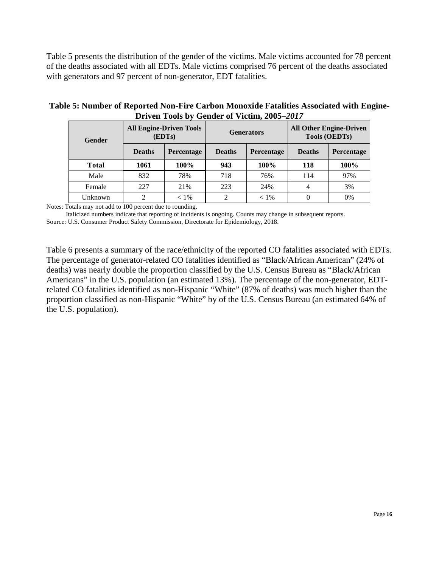Table 5 presents the distribution of the gender of the victims. Male victims accounted for 78 percent of the deaths associated with all EDTs. Male victims comprised 76 percent of the deaths associated with generators and 97 percent of non-generator, EDT fatalities.

| $22.1$ , $2.1$ , $2.0$ , $2.0$ , $2.0$ , $2.0$ , $2.0$ , $2.0$ , $2.0$ , $2.0$ , $2.0$ , $2.0$ |               |                                          |               |                   |                                                        |            |  |  |  |  |
|------------------------------------------------------------------------------------------------|---------------|------------------------------------------|---------------|-------------------|--------------------------------------------------------|------------|--|--|--|--|
| <b>Gender</b>                                                                                  |               | <b>All Engine-Driven Tools</b><br>(EDTs) |               | <b>Generators</b> | <b>All Other Engine-Driven</b><br><b>Tools (OEDTs)</b> |            |  |  |  |  |
|                                                                                                | <b>Deaths</b> | Percentage                               | <b>Deaths</b> | Percentage        | <b>Deaths</b>                                          | Percentage |  |  |  |  |
| <b>Total</b>                                                                                   | 100%<br>1061  |                                          | 943           | 100%              | 118                                                    | 100%       |  |  |  |  |
| Male                                                                                           | 832           | 78%                                      | 718           | 76%               | 114                                                    | 97%        |  |  |  |  |
| Female                                                                                         | 227           | 21%                                      | 223           | 24%               |                                                        | 3%         |  |  |  |  |
| Unknown                                                                                        |               | $< 1\%$                                  |               | $< 1\%$           |                                                        | 0%         |  |  |  |  |

<span id="page-15-0"></span>**Table 5: Number of Reported Non-Fire Carbon Monoxide Fatalities Associated with Engine-Driven Tools by Gender of Victim, 2005–***2017*

Notes: Totals may not add to 100 percent due to rounding.

 Italicized numbers indicate that reporting of incidents is ongoing. Counts may change in subsequent reports. Source: U.S. Consumer Product Safety Commission, Directorate for Epidemiology, 2018.

Table 6 presents a summary of the race/ethnicity of the reported CO fatalities associated with EDTs. The percentage of generator-related CO fatalities identified as "Black/African American" (24% of deaths) was nearly double the proportion classified by the U.S. Census Bureau as "Black/African Americans" in the U.S. population (an estimated 13%). The percentage of the non-generator, EDTrelated CO fatalities identified as non-Hispanic "White" (87% of deaths) was much higher than the proportion classified as non-Hispanic "White" by of the U.S. Census Bureau (an estimated 64% of the U.S. population).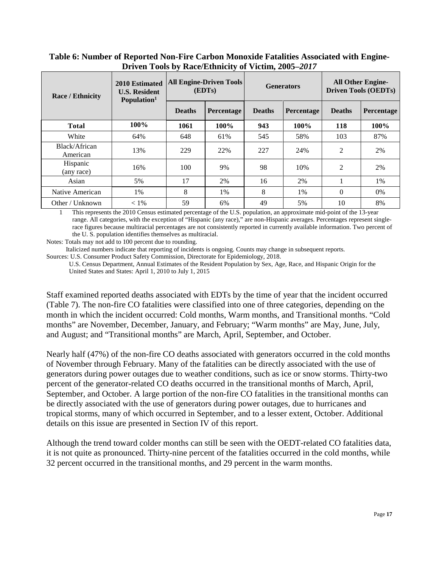| <b>Race / Ethnicity</b>   | 2010 Estimated<br><b>U.S. Resident</b><br>Population <sup>1</sup> |               | <b>All Engine-Driven Tools</b><br>(EDTs) |               | <b>Generators</b> | <b>All Other Engine-</b><br><b>Driven Tools (OEDTs)</b> |            |  |
|---------------------------|-------------------------------------------------------------------|---------------|------------------------------------------|---------------|-------------------|---------------------------------------------------------|------------|--|
|                           |                                                                   | <b>Deaths</b> | Percentage                               | <b>Deaths</b> | Percentage        | <b>Deaths</b>                                           | Percentage |  |
| <b>Total</b>              | 100%                                                              | 1061          | 100%                                     | 943           | 100%              | 118                                                     | 100%       |  |
| White                     | 64%                                                               | 648           | 61%                                      | 545           | 58%               | 103                                                     | 87%        |  |
| Black/African<br>American | 13%                                                               | 229           | 22%                                      | 227           | 24%               | $\overline{2}$                                          | 2%         |  |
| Hispanic<br>(any race)    | 16%                                                               | 100           | 9%                                       | 98            | 10%               | 2                                                       | 2%         |  |
| Asian                     | 5%                                                                | 17            | 2%                                       | 16            | 2%                |                                                         | 1%         |  |
| Native American           | 1%                                                                | 8             | 1%                                       | 8             | $1\%$             | $\theta$                                                | $0\%$      |  |
| Other / Unknown           | $< 1\%$                                                           | 59            | 6%                                       | 49            | 5%                | 10                                                      | 8%         |  |

#### <span id="page-16-0"></span>**Table 6: Number of Reported Non-Fire Carbon Monoxide Fatalities Associated with Engine-Driven Tools by Race/Ethnicity of Victim, 2005–***2017*

This represents the 2010 Census estimated percentage of the U.S. population, an approximate mid-point of the 13-year range. All categories, with the exception of "Hispanic (any race)," are non-Hispanic averages. Percentages represent singlerace figures because multiracial percentages are not consistently reported in currently available information. Two percent of the U. S. population identifies themselves as multiracial.

Notes: Totals may not add to 100 percent due to rounding.

Italicized numbers indicate that reporting of incidents is ongoing. Counts may change in subsequent reports.

Sources: U.S. Consumer Product Safety Commission, Directorate for Epidemiology, 2018.

U.S. Census Department, Annual Estimates of the Resident Population by Sex, Age, Race, and Hispanic Origin for the United States and States: April 1, 2010 to July 1, 2015

Staff examined reported deaths associated with EDTs by the time of year that the incident occurred (Table 7). The non-fire CO fatalities were classified into one of three categories, depending on the month in which the incident occurred: Cold months, Warm months, and Transitional months. "Cold months" are November, December, January, and February; "Warm months" are May, June, July, and August; and "Transitional months" are March, April, September, and October.

Nearly half (47%) of the non-fire CO deaths associated with generators occurred in the cold months of November through February. Many of the fatalities can be directly associated with the use of generators during power outages due to weather conditions, such as ice or snow storms. Thirty-two percent of the generator-related CO deaths occurred in the transitional months of March, April, September, and October. A large portion of the non-fire CO fatalities in the transitional months can be directly associated with the use of generators during power outages, due to hurricanes and tropical storms, many of which occurred in September, and to a lesser extent, October. Additional details on this issue are presented in Section IV of this report.

Although the trend toward colder months can still be seen with the OEDT-related CO fatalities data, it is not quite as pronounced. Thirty-nine percent of the fatalities occurred in the cold months, while 32 percent occurred in the transitional months, and 29 percent in the warm months.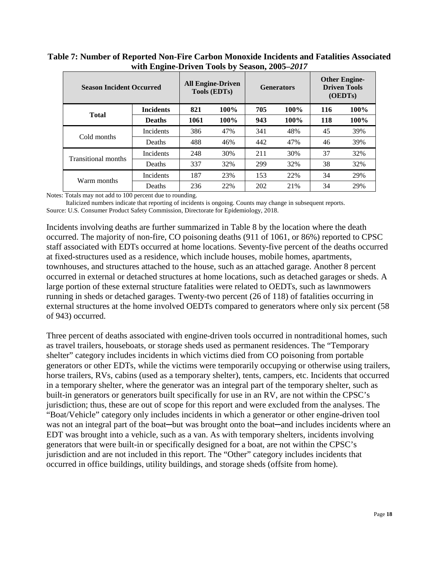| <b>Season Incident Occurred</b> |                  | <b>All Engine-Driven</b><br><b>Tools (EDTs)</b> |      |     | <b>Generators</b> | <b>Other Engine-</b><br><b>Driven Tools</b><br>(OEDTs) |      |  |
|---------------------------------|------------------|-------------------------------------------------|------|-----|-------------------|--------------------------------------------------------|------|--|
|                                 | <b>Incidents</b> | 821                                             | 100% | 705 | 100%              | 116                                                    | 100% |  |
| <b>Total</b>                    | <b>Deaths</b>    | 1061                                            | 100% | 943 | 100%              | 118                                                    | 100% |  |
|                                 | Incidents        | 386                                             | 47%  | 341 | 48%               | 45                                                     | 39%  |  |
| Cold months                     | Deaths           | 488                                             | 46%  | 442 | 47%               | 46                                                     | 39%  |  |
| <b>Transitional months</b>      | Incidents        | 248                                             | 30%  | 211 | 30%               | 37                                                     | 32%  |  |
|                                 | Deaths           | 337                                             | 32%  | 299 | 32%               | 38                                                     | 32%  |  |
| Warm months                     | Incidents        | 187                                             | 23%  | 153 | 22%               | 34                                                     | 29%  |  |
|                                 | Deaths           | 236                                             | 22%  | 202 | 21%               | 34                                                     | 29%  |  |

<span id="page-17-0"></span>**Table 7: Number of Reported Non-Fire Carbon Monoxide Incidents and Fatalities Associated with Engine-Driven Tools by Season, 2005–***2017*

Notes: Totals may not add to 100 percent due to rounding.

 Italicized numbers indicate that reporting of incidents is ongoing. Counts may change in subsequent reports. Source: U.S. Consumer Product Safety Commission, Directorate for Epidemiology, 2018.

Incidents involving deaths are further summarized in Table 8 by the location where the death occurred. The majority of non-fire, CO poisoning deaths (911 of 1061, or 86%) reported to CPSC staff associated with EDTs occurred at home locations. Seventy-five percent of the deaths occurred at fixed-structures used as a residence, which include houses, mobile homes, apartments, townhouses, and structures attached to the house, such as an attached garage. Another 8 percent occurred in external or detached structures at home locations, such as detached garages or sheds. A large portion of these external structure fatalities were related to OEDTs, such as lawnmowers running in sheds or detached garages. Twenty-two percent (26 of 118) of fatalities occurring in external structures at the home involved OEDTs compared to generators where only six percent (58 of 943) occurred.

Three percent of deaths associated with engine-driven tools occurred in nontraditional homes, such as travel trailers, houseboats, or storage sheds used as permanent residences. The "Temporary shelter" category includes incidents in which victims died from CO poisoning from portable generators or other EDTs, while the victims were temporarily occupying or otherwise using trailers, horse trailers, RVs, cabins (used as a temporary shelter), tents, campers, etc. Incidents that occurred in a temporary shelter, where the generator was an integral part of the temporary shelter, such as built-in generators or generators built specifically for use in an RV, are not within the CPSC's jurisdiction; thus, these are out of scope for this report and were excluded from the analyses. The "Boat/Vehicle" category only includes incidents in which a generator or other engine-driven tool was not an integral part of the boat—but was brought onto the boat—and includes incidents where an EDT was brought into a vehicle, such as a van. As with temporary shelters, incidents involving generators that were built-in or specifically designed for a boat, are not within the CPSC's jurisdiction and are not included in this report. The "Other" category includes incidents that occurred in office buildings, utility buildings, and storage sheds (offsite from home).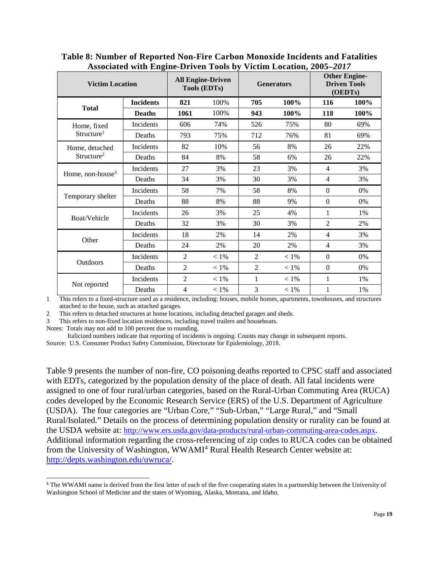|                              |                  | $1000$ charge with $\frac{1}{2}$ mg $\frac{1}{2}$ below $\frac{1}{2}$ |                                                 |                | Tremin moculitum soul |                  |                                                        |  |  |
|------------------------------|------------------|-----------------------------------------------------------------------|-------------------------------------------------|----------------|-----------------------|------------------|--------------------------------------------------------|--|--|
| <b>Victim Location</b>       |                  |                                                                       | <b>All Engine-Driven</b><br><b>Tools (EDTs)</b> |                | <b>Generators</b>     |                  | <b>Other Engine-</b><br><b>Driven Tools</b><br>(OEDTs) |  |  |
| <b>Total</b>                 | <b>Incidents</b> | 821                                                                   | 100%                                            | 705            | 100%                  | 116              | 100%                                                   |  |  |
|                              | <b>Deaths</b>    | 1061                                                                  | 100%                                            | 943            | 100%                  | 118              | 100%                                                   |  |  |
| Home, fixed                  | Incidents        | 606                                                                   | 74%                                             | 526            | 75%                   | 80               | 69%                                                    |  |  |
| Structure <sup>1</sup>       | Deaths           | 793                                                                   | 75%                                             | 712            | 76%                   | 81               | 69%                                                    |  |  |
| Home, detached               | Incidents        | 82                                                                    | 10%                                             | 56             | 8%                    | 26               | 22%                                                    |  |  |
| Structure <sup>2</sup>       | Deaths           | 84                                                                    | 8%                                              | 58             | 6%                    | 26               | 22%                                                    |  |  |
| Home, non-house <sup>3</sup> | Incidents        | 27                                                                    | 3%                                              | 23             | 3%                    | $\overline{4}$   | 3%                                                     |  |  |
|                              | Deaths           | 34                                                                    | 3%                                              | 30             | 3%                    | $\overline{4}$   | 3%                                                     |  |  |
|                              | Incidents        | 58                                                                    | 7%                                              | 58             | 8%                    | $\Omega$         | $0\%$                                                  |  |  |
| Temporary shelter            | Deaths           | 88                                                                    | 8%                                              | 88             | 9%                    | $\Omega$         | $0\%$                                                  |  |  |
|                              | Incidents        | 26                                                                    | 3%                                              | 25             | 4%                    | $\mathbf{1}$     | 1%                                                     |  |  |
| Boat/Vehicle                 | Deaths           | 32                                                                    | 3%                                              | 30             | 3%                    | $\overline{2}$   | 2%                                                     |  |  |
|                              | Incidents        | 18                                                                    | 2%                                              | 14             | 2%                    | $\overline{4}$   | 3%                                                     |  |  |
| Other                        | Deaths           | 24                                                                    | 2%                                              | 20             | 2%                    | $\overline{4}$   | 3%                                                     |  |  |
|                              | Incidents        | 2                                                                     | $<1\%$                                          | 2              | $< 1\%$               | $\Omega$         | 0%                                                     |  |  |
| Outdoors                     | Deaths           | $\overline{2}$                                                        | $< 1\%$                                         | $\overline{2}$ | $< 1\%$               | $\boldsymbol{0}$ | 0%                                                     |  |  |
|                              | Incidents        | $\overline{2}$                                                        | $<1\%$                                          | 1              | $<1\%$                | $\mathbf{1}$     | 1%                                                     |  |  |
| Not reported                 | Deaths           | $\overline{4}$                                                        | $<1\%$                                          | 3              | $< 1\%$               | 1                | 1%                                                     |  |  |

<span id="page-18-0"></span>**Table 8: Number of Reported Non-Fire Carbon Monoxide Incidents and Fatalities Associated with Engine-Driven Tools by Victim Location, 2005–***2017*

1 This refers to a fixed-structure used as a residence, including: houses, mobile homes, apartments, townhouses, and structures attached to the house, such as attached garages.

2 This refers to detached structures at home locations, including detached garages and sheds.

This refers to non-fixed location residences, including travel trailers and houseboats.

Notes: Totals may not add to 100 percent due to rounding.

 $\overline{a}$ 

Italicized numbers indicate that reporting of incidents is ongoing. Counts may change in subsequent reports.

Source: U.S. Consumer Product Safety Commission, Directorate for Epidemiology, 2018.

Table 9 presents the number of non-fire, CO poisoning deaths reported to CPSC staff and associated with EDTs, categorized by the population density of the place of death. All fatal incidents were assigned to one of four rural/urban categories, based on the Rural-Urban Commuting Area (RUCA) codes developed by the Economic Research Service (ERS) of the U.S. Department of Agriculture (USDA). The four categories are "Urban Core," "Sub-Urban," "Large Rural," and "Small Rural/Isolated." Details on the process of determining population density or rurality can be found at the USDA website at: [http://www.ers.usda.gov/data-products/rural-urban-commuting-area-codes.aspx.](http://www.ers.usda.gov/data-products/rural-urban-commuting-area-codes.aspx) Additional information regarding the cross-referencing of zip codes to RUCA codes can be obtained from the University of Washington, WWAMI<sup>[4](#page-18-1)</sup> Rural Health Research Center website at: [http://depts.washington.edu/uwruca/.](http://depts.washington.edu/uwruca/)

<span id="page-18-1"></span><sup>4</sup> The WWAMI name is derived from the first letter of each of the five cooperating states in a partnership between the University of Washington School of Medicine and the states of Wyoming, Alaska, Montana, and Idaho.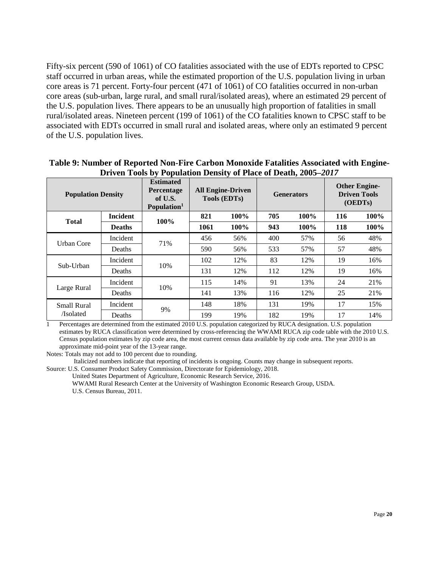Fifty-six percent (590 of 1061) of CO fatalities associated with the use of EDTs reported to CPSC staff occurred in urban areas, while the estimated proportion of the U.S. population living in urban core areas is 71 percent. Forty-four percent (471 of 1061) of CO fatalities occurred in non-urban core areas (sub-urban, large rural, and small rural/isolated areas), where an estimated 29 percent of the U.S. population lives. There appears to be an unusually high proportion of fatalities in small rural/isolated areas. Nineteen percent (199 of 1061) of the CO fatalities known to CPSC staff to be associated with EDTs occurred in small rural and isolated areas, where only an estimated 9 percent of the U.S. population lives.

| <b>Population Density</b> |               | <b>Estimated</b><br>Percentage<br>of U.S.<br>Population <sup>1</sup> | <b>All Engine-Driven</b><br><b>Tools (EDTs)</b> |      |     | <b>Generators</b> | <b>Other Engine-</b><br><b>Driven Tools</b><br>(OEDTs) |      |
|---------------------------|---------------|----------------------------------------------------------------------|-------------------------------------------------|------|-----|-------------------|--------------------------------------------------------|------|
| <b>Incident</b>           |               |                                                                      | 821                                             | 100% | 705 | $100\%$           | 116                                                    | 100% |
| <b>Total</b>              | <b>Deaths</b> | 100%                                                                 | 1061                                            | 100% | 943 | 100%              | 118                                                    | 100% |
| Urban Core                | Incident      | 71%                                                                  | 456                                             | 56%  | 400 | 57%               | 56                                                     | 48%  |
|                           | Deaths        |                                                                      | 590                                             | 56%  | 533 | 57%               | 57                                                     | 48%  |
| Sub-Urban                 | Incident      | 10%                                                                  | 102                                             | 12%  | 83  | 12%               | 19                                                     | 16%  |
|                           | Deaths        |                                                                      | 131                                             | 12%  | 112 | 12%               | 19                                                     | 16%  |
|                           | Incident      |                                                                      | 115                                             | 14%  | 91  | 13%               | 24                                                     | 21%  |
| Large Rural               | Deaths        | 10%                                                                  | 141                                             | 13%  | 116 | 12%               | 25                                                     | 21%  |
| <b>Small Rural</b>        | Incident      |                                                                      | 148                                             | 18%  | 131 | 19%               | 17                                                     | 15%  |
| /Isolated                 | Deaths        | 9%                                                                   | 199                                             | 19%  | 182 | 19%               | 17                                                     | 14%  |

#### <span id="page-19-0"></span>**Table 9: Number of Reported Non-Fire Carbon Monoxide Fatalities Associated with Engine-Driven Tools by Population Density of Place of Death, 2005–***2017*

1 Percentages are determined from the estimated 2010 U.S. population categorized by RUCA designation. U.S. population estimates by RUCA classification were determined by cross-referencing the WWAMI RUCA zip code table with the 2010 U.S. Census population estimates by zip code area, the most current census data available by zip code area. The year 2010 is an approximate mid-point year of the 13-year range.

Notes: Totals may not add to 100 percent due to rounding.

Italicized numbers indicate that reporting of incidents is ongoing. Counts may change in subsequent reports.

Source: U.S. Consumer Product Safety Commission, Directorate for Epidemiology, 2018.

United States Department of Agriculture, Economic Research Service, 2016.

WWAMI Rural Research Center at the University of Washington Economic Research Group, USDA. U.S. Census Bureau, 2011.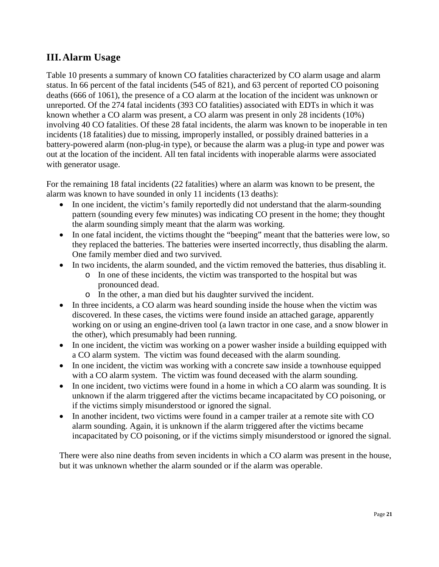# <span id="page-20-0"></span>**III.Alarm Usage**

Table 10 presents a summary of known CO fatalities characterized by CO alarm usage and alarm status. In 66 percent of the fatal incidents (545 of 821), and 63 percent of reported CO poisoning deaths (666 of 1061), the presence of a CO alarm at the location of the incident was unknown or unreported. Of the 274 fatal incidents (393 CO fatalities) associated with EDTs in which it was known whether a CO alarm was present, a CO alarm was present in only 28 incidents (10%) involving 40 CO fatalities. Of these 28 fatal incidents, the alarm was known to be inoperable in ten incidents (18 fatalities) due to missing, improperly installed, or possibly drained batteries in a battery-powered alarm (non-plug-in type), or because the alarm was a plug-in type and power was out at the location of the incident. All ten fatal incidents with inoperable alarms were associated with generator usage.

For the remaining 18 fatal incidents (22 fatalities) where an alarm was known to be present, the alarm was known to have sounded in only 11 incidents (13 deaths):

- In one incident, the victim's family reportedly did not understand that the alarm-sounding pattern (sounding every few minutes) was indicating CO present in the home; they thought the alarm sounding simply meant that the alarm was working.
- In one fatal incident, the victims thought the "beeping" meant that the batteries were low, so they replaced the batteries. The batteries were inserted incorrectly, thus disabling the alarm. One family member died and two survived.
- In two incidents, the alarm sounded, and the victim removed the batteries, thus disabling it.
	- o In one of these incidents, the victim was transported to the hospital but was pronounced dead.
	- o In the other, a man died but his daughter survived the incident.
- In three incidents, a CO alarm was heard sounding inside the house when the victim was discovered. In these cases, the victims were found inside an attached garage, apparently working on or using an engine-driven tool (a lawn tractor in one case, and a snow blower in the other), which presumably had been running.
- In one incident, the victim was working on a power washer inside a building equipped with a CO alarm system. The victim was found deceased with the alarm sounding.
- In one incident, the victim was working with a concrete saw inside a townhouse equipped with a CO alarm system. The victim was found deceased with the alarm sounding.
- In one incident, two victims were found in a home in which a CO alarm was sounding. It is unknown if the alarm triggered after the victims became incapacitated by CO poisoning, or if the victims simply misunderstood or ignored the signal.
- In another incident, two victims were found in a camper trailer at a remote site with CO alarm sounding. Again, it is unknown if the alarm triggered after the victims became incapacitated by CO poisoning, or if the victims simply misunderstood or ignored the signal.

There were also nine deaths from seven incidents in which a CO alarm was present in the house, but it was unknown whether the alarm sounded or if the alarm was operable.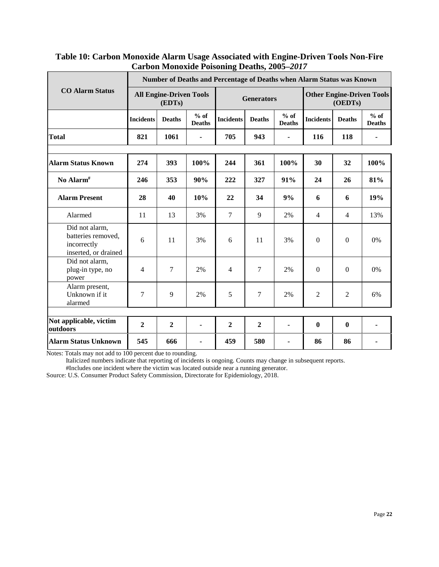## <span id="page-21-0"></span>**Table 10: Carbon Monoxide Alarm Usage Associated with Engine-Driven Tools Non-Fire Carbon Monoxide Poisoning Deaths, 2005–***2017*

|                                                                             | Number of Deaths and Percentage of Deaths when Alarm Status was Known |                |                         |                  |                   |                         |                  |                                             |                         |  |
|-----------------------------------------------------------------------------|-----------------------------------------------------------------------|----------------|-------------------------|------------------|-------------------|-------------------------|------------------|---------------------------------------------|-------------------------|--|
| <b>CO Alarm Status</b>                                                      | <b>All Engine-Driven Tools</b><br>(EDTs)                              |                |                         |                  | <b>Generators</b> |                         |                  | <b>Other Engine-Driven Tools</b><br>(OEDTs) |                         |  |
|                                                                             | <b>Incidents</b>                                                      | <b>Deaths</b>  | $%$ of<br><b>Deaths</b> | <b>Incidents</b> | <b>Deaths</b>     | $%$ of<br><b>Deaths</b> | <b>Incidents</b> | <b>Deaths</b>                               | $%$ of<br><b>Deaths</b> |  |
| <b>Total</b>                                                                | 821                                                                   | 1061           |                         | 705              | 943               |                         | 116              | 118                                         | ٠                       |  |
|                                                                             |                                                                       |                |                         |                  |                   |                         |                  |                                             |                         |  |
| <b>Alarm Status Known</b>                                                   | 274                                                                   | 393            | 100%                    | 244              | 361               | 100%                    | 30               | 32                                          | 100%                    |  |
| No Alarm <sup>#</sup>                                                       | 246                                                                   | 353            | 90%                     | 222              | 327               | 91%                     | 24               | 26                                          | 81%                     |  |
| <b>Alarm Present</b>                                                        | 28                                                                    | 40             | 10%                     | 22               | 34                | 9%                      | 6                | 6                                           | 19%                     |  |
| Alarmed                                                                     | 11                                                                    | 13             | 3%                      | $\overline{7}$   | 9                 | 2%                      | $\overline{4}$   | $\overline{4}$                              | 13%                     |  |
| Did not alarm,<br>batteries removed,<br>incorrectly<br>inserted, or drained | 6                                                                     | 11             | 3%                      | 6                | 11                | 3%                      | $\Omega$         | $\Omega$                                    | 0%                      |  |
| Did not alarm,<br>plug-in type, no<br>power                                 | $\overline{4}$                                                        | $\tau$         | 2%                      | $\overline{4}$   | 7                 | 2%                      | $\Omega$         | $\mathbf{0}$                                | 0%                      |  |
| Alarm present,<br>Unknown if it<br>alarmed                                  | 7                                                                     | 9              | 2%                      | 5                | 7                 | 2%                      | $\overline{2}$   | $\overline{2}$                              | 6%                      |  |
| Not applicable, victim                                                      |                                                                       |                |                         |                  |                   |                         |                  |                                             |                         |  |
| outdoors                                                                    | $\overline{2}$                                                        | $\overline{2}$ | ä,                      | $\mathbf{2}$     | $\mathbf{2}$      | ä,                      | $\mathbf{0}$     | $\mathbf{0}$                                | ۰                       |  |
| <b>Alarm Status Unknown</b>                                                 | 545                                                                   | 666            | ٠                       | 459              | 580               | ۰                       | 86               | 86                                          |                         |  |

Notes: Totals may not add to 100 percent due to rounding.

Italicized numbers indicate that reporting of incidents is ongoing. Counts may change in subsequent reports.

#Includes one incident where the victim was located outside near a running generator.

Source: U.S. Consumer Product Safety Commission, Directorate for Epidemiology, 2018.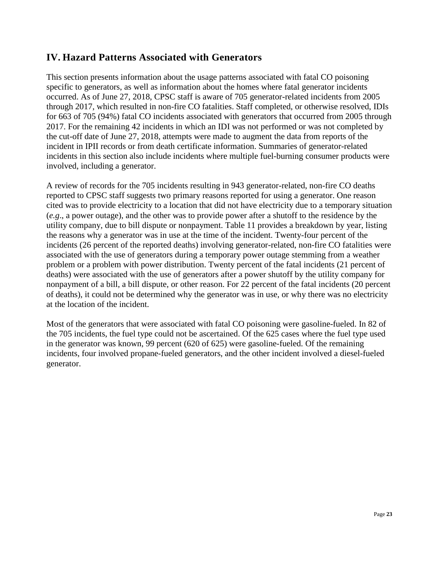## <span id="page-22-0"></span>**IV. Hazard Patterns Associated with Generators**

This section presents information about the usage patterns associated with fatal CO poisoning specific to generators, as well as information about the homes where fatal generator incidents occurred. As of June 27, 2018, CPSC staff is aware of 705 generator-related incidents from 2005 through 2017, which resulted in non-fire CO fatalities. Staff completed, or otherwise resolved, IDIs for 663 of 705 (94%) fatal CO incidents associated with generators that occurred from 2005 through 2017. For the remaining 42 incidents in which an IDI was not performed or was not completed by the cut-off date of June 27, 2018, attempts were made to augment the data from reports of the incident in IPII records or from death certificate information. Summaries of generator-related incidents in this section also include incidents where multiple fuel-burning consumer products were involved, including a generator.

A review of records for the 705 incidents resulting in 943 generator-related, non-fire CO deaths reported to CPSC staff suggests two primary reasons reported for using a generator. One reason cited was to provide electricity to a location that did not have electricity due to a temporary situation (*e.g*., a power outage), and the other was to provide power after a shutoff to the residence by the utility company, due to bill dispute or nonpayment. Table 11 provides a breakdown by year, listing the reasons why a generator was in use at the time of the incident. Twenty-four percent of the incidents (26 percent of the reported deaths) involving generator-related, non-fire CO fatalities were associated with the use of generators during a temporary power outage stemming from a weather problem or a problem with power distribution. Twenty percent of the fatal incidents (21 percent of deaths) were associated with the use of generators after a power shutoff by the utility company for nonpayment of a bill, a bill dispute, or other reason. For 22 percent of the fatal incidents (20 percent of deaths), it could not be determined why the generator was in use, or why there was no electricity at the location of the incident.

Most of the generators that were associated with fatal CO poisoning were gasoline-fueled. In 82 of the 705 incidents, the fuel type could not be ascertained. Of the 625 cases where the fuel type used in the generator was known, 99 percent (620 of 625) were gasoline-fueled. Of the remaining incidents, four involved propane-fueled generators, and the other incident involved a diesel-fueled generator.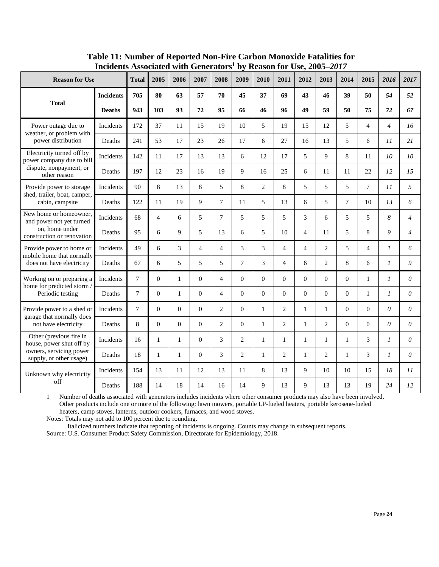<span id="page-23-0"></span>

|                                                                             |                  |              | VV LLLL        | <b>OCHULATOL</b> |                | IJ,            | <b>INCAPOLI TOT</b> |                | $\mathbf{C}$ <sub><math>\mathbf{C}</math></sub> |                |                |          |                |                |                |
|-----------------------------------------------------------------------------|------------------|--------------|----------------|------------------|----------------|----------------|---------------------|----------------|-------------------------------------------------|----------------|----------------|----------|----------------|----------------|----------------|
| <b>Reason for Use</b>                                                       |                  | <b>Total</b> | 2005           | 2006             | 2007           | 2008           | 2009                | 2010           | 2011                                            | 2012           | 2013           | 2014     | 2015           | 2016           | 2017           |
|                                                                             | <b>Incidents</b> | 705          | 80             | 63               | 57             | 70             | 45                  | 37             | 69                                              | 43             | 46             | 39       | 50             | 54             | 52             |
| <b>Total</b>                                                                | <b>Deaths</b>    | 943          | 103            | 93               | 72             | 95             | 66                  | 46             | 96                                              | 49             | 59             | 50       | 75             | 72             | 67             |
| Power outage due to<br>weather, or problem with                             | Incidents        | 172          | 37             | 11               | 15             | 19             | 10                  | 5              | 19                                              | 15             | 12             | 5        | $\overline{4}$ | $\overline{4}$ | 16             |
| power distribution                                                          | Deaths           | 241          | 53             | 17               | 23             | 26             | 17                  | 6              | 27                                              | 16             | 13             | 5        | 6              | 11             | 21             |
| Electricity turned off by<br>power company due to bill                      | Incidents        | 142          | 11             | 17               | 13             | 13             | 6                   | 12             | 17                                              | 5              | 9              | 8        | 11             | 10             | 10             |
| dispute, nonpayment, or<br>other reason                                     | Deaths           | 197          | 12             | 23               | 16             | 19             | 9                   | 16             | 25                                              | 6              | 11             | 11       | 22             | 12             | 15             |
| Provide power to storage<br>shed, trailer, boat, camper,<br>cabin, campsite | Incidents        | 90           | 8              | 13               | 8              | 5              | 8                   | $\overline{c}$ | 8                                               | 5              | 5              | 5        | 7              | 11             | 5              |
|                                                                             | Deaths           | 122          | 11             | 19               | 9              | 7              | 11                  | 5              | 13                                              | 6              | 5              | $\tau$   | 10             | 13             | 6              |
| New home or homeowner,<br>and power not yet turned                          | Incidents        | 68           | $\overline{4}$ | 6                | 5              | $\overline{7}$ | 5                   | 5              | 5                                               | 3              | 6              | 5        | 5              | 8              | $\overline{4}$ |
| on, home under<br>construction or renovation                                | Deaths           | 95           | 6              | 9                | 5              | 13             | 6                   | 5              | 10                                              | $\overline{4}$ | 11             | 5        | 8              | 9              | $\overline{4}$ |
| Provide power to home or<br>mobile home that normally                       | Incidents        | 49           | 6              | 3                | $\overline{4}$ | $\overline{4}$ | 3                   | 3              | $\overline{4}$                                  | $\overline{4}$ | $\overline{2}$ | 5        | $\overline{4}$ | $\mathcal{I}$  | 6              |
| does not have electricity                                                   | Deaths           | 67           | 6              | 5                | 5              | 5              | 7                   | 3              | $\overline{4}$                                  | 6              | $\overline{2}$ | 8        | 6              | $\mathcal{I}$  | 9              |
| Working on or preparing a<br>home for predicted storm /                     | Incidents        | 7            | $\Omega$       | $\mathbf{1}$     | $\Omega$       | $\overline{4}$ | $\Omega$            | $\overline{0}$ | $\Omega$                                        | $\Omega$       | $\Omega$       | $\Omega$ | $\mathbf{1}$   | $\mathcal{I}$  | $\theta$       |
| Periodic testing                                                            | Deaths           | 7            | $\mathbf{0}$   | $\mathbf{1}$     | $\theta$       | $\overline{4}$ | $\theta$            | $\overline{0}$ | $\overline{0}$                                  | $\theta$       | $\overline{0}$ | $\Omega$ | $\mathbf{1}$   | 1              | $\theta$       |
| Provide power to a shed or                                                  | Incidents        | 7            | $\overline{0}$ | $\Omega$         | $\Omega$       | $\overline{2}$ | $\Omega$            | $\mathbf{1}$   | $\overline{2}$                                  | 1              | $\mathbf{1}$   | $\Omega$ | $\overline{0}$ | $\theta$       | $\theta$       |
| garage that normally does<br>not have electricity                           | Deaths           | 8            | $\overline{0}$ | $\mathbf{0}$     | $\theta$       | $\overline{2}$ | $\theta$            | $\mathbf{1}$   | $\overline{2}$                                  | $\mathbf{1}$   | $\overline{2}$ | $\Omega$ | $\Omega$       | $\theta$       | $\theta$       |
| Other (previous fire in<br>house, power shut off by                         | Incidents        | 16           | 1              | $\mathbf{1}$     | $\Omega$       | 3              | 2                   | 1              | $\mathbf{1}$                                    | $\mathbf{1}$   | $\mathbf{1}$   | 1        | 3              | $\mathcal{I}$  | $\theta$       |
| owners, servicing power<br>supply, or other usage)                          | Deaths           | 18           | 1              | $\mathbf{1}$     | $\Omega$       | 3              | 2                   | 1              | $\overline{2}$                                  | $\mathbf{1}$   | $\overline{2}$ | 1        | 3              | $\mathcal{I}$  | $\theta$       |
| Unknown why electricity                                                     | Incidents        | 154          | 13             | 11               | 12             | 13             | 11                  | 8              | 13                                              | 9              | 10             | 10       | 15             | 18             | 11             |
| off                                                                         | Deaths           | 188          | 14             | 18               | 14             | 16             | 14                  | 9              | 13                                              | 9              | 13             | 13       | 19             | 24             | 12             |

**Table 11: Number of Reported Non-Fire Carbon Monoxide Fatalities for Incidents Associated with Generators1 by Reason for Use, 2005–***2017*

1 Number of deaths associated with generators includes incidents where other consumer products may also have been involved. Other products include one or more of the following: lawn mowers, portable LP-fueled heaters, portable kerosene-fueled heaters, camp stoves, lanterns, outdoor cookers, furnaces, and wood stoves.

Notes: Totals may not add to 100 percent due to rounding.

 Italicized numbers indicate that reporting of incidents is ongoing. Counts may change in subsequent reports. Source: U.S. Consumer Product Safety Commission, Directorate for Epidemiology, 2018.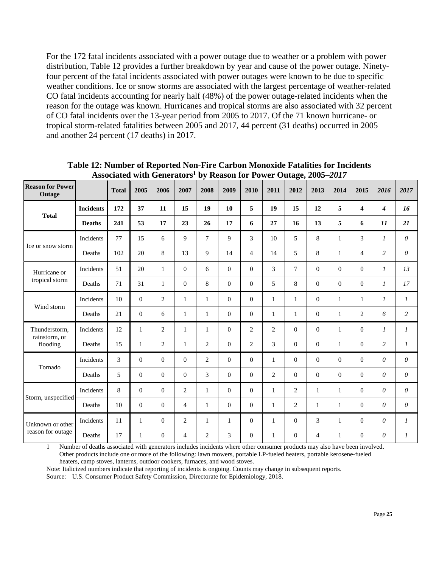For the 172 fatal incidents associated with a power outage due to weather or a problem with power distribution, Table 12 provides a further breakdown by year and cause of the power outage. Ninetyfour percent of the fatal incidents associated with power outages were known to be due to specific weather conditions. Ice or snow storms are associated with the largest percentage of weather-related CO fatal incidents accounting for nearly half (48%) of the power outage-related incidents when the reason for the outage was known. Hurricanes and tropical storms are also associated with 32 percent of CO fatal incidents over the 13-year period from 2005 to 2017. Of the 71 known hurricane- or tropical storm-related fatalities between 2005 and 2017, 44 percent (31 deaths) occurred in 2005 and another 24 percent (17 deaths) in 2017.

| <b>Reason for Power</b><br>Outage |                  | <b>Total</b> | 2005           | <i>Exposueva</i> with otherators<br>2006 | 2007           | 2008           | 2009           | $\omega$ reason for 1 ower Sunge, 2000<br>2010 | 2011           | 2012           | 2013           | $\rightarrow \rightarrow \rightarrow$<br>2014 | 2015           | 2016                  | 2017                  |
|-----------------------------------|------------------|--------------|----------------|------------------------------------------|----------------|----------------|----------------|------------------------------------------------|----------------|----------------|----------------|-----------------------------------------------|----------------|-----------------------|-----------------------|
| <b>Total</b>                      | <b>Incidents</b> | 172          | 37             | 11                                       | 15             | 19             | 10             | 5                                              | 19             | 15             | 12             | 5                                             | 4              | $\boldsymbol{4}$      | 16                    |
|                                   | <b>Deaths</b>    | 241          | 53             | 17                                       | 23             | 26             | 17             | 6                                              | 27             | 16             | 13             | 5                                             | 6              | 11                    | 21                    |
| Ice or snow storm                 | Incidents        | 77           | 15             | 6                                        | 9              | $\tau$         | 9              | 3                                              | 10             | 5              | 8              | $\mathbf{1}$                                  | 3              | $\mathfrak{1}$        | $\theta$              |
|                                   | Deaths           | 102          | 20             | $8\,$                                    | 13             | 9              | 14             | $\overline{4}$                                 | 14             | 5              | $8\,$          | $\mathbf{1}$                                  | $\overline{4}$ | $\overline{c}$        | $\theta$              |
| Hurricane or<br>tropical storm    | Incidents        | 51           | 20             | $\mathbf{1}$                             | $\overline{0}$ | 6              | $\Omega$       | $\Omega$                                       | 3              | $\tau$         | $\overline{0}$ | $\theta$                                      | $\overline{0}$ | $\mathcal{I}$         | 13                    |
|                                   | Deaths           | 71           | 31             | $\mathbf{1}$                             | $\mathbf{0}$   | 8              | $\theta$       | $\overline{0}$                                 | 5              | 8              | $\mathbf{0}$   | $\boldsymbol{0}$                              | $\mathbf{0}$   | 1                     | 17                    |
| Wind storm                        | Incidents        | 10           | $\overline{0}$ | 2                                        | $\mathbf{1}$   | $\mathbf{1}$   | $\Omega$       | $\Omega$                                       | $\mathbf{1}$   | $\mathbf{1}$   | $\overline{0}$ | $\mathbf{1}$                                  | $\mathbf{1}$   | $\boldsymbol{l}$      | $\boldsymbol{l}$      |
|                                   | Deaths           | 21           | $\overline{0}$ | 6                                        | $\mathbf{1}$   | $\mathbf{1}$   | $\theta$       | $\Omega$                                       | $\mathbf{1}$   | 1              | $\overline{0}$ | $\mathbf{1}$                                  | $\overline{c}$ | 6                     | $\overline{c}$        |
| Thunderstorm.<br>rainstorm, or    | Incidents        | 12           | $\mathbf{1}$   | 2                                        | $\mathbf{1}$   | $\mathbf{1}$   | $\Omega$       | 2                                              | $\overline{2}$ | $\overline{0}$ | $\overline{0}$ | $\mathbf{1}$                                  | $\overline{0}$ | $\mathcal{I}$         | $\mathcal{I}$         |
| flooding                          | Deaths           | 15           | 1              | 2                                        | $\mathbf{1}$   | $\overline{2}$ | $\theta$       | $\overline{2}$                                 | 3              | $\Omega$       | $\overline{0}$ | 1                                             | $\overline{0}$ | $\overline{c}$        | $\boldsymbol{l}$      |
| Tornado                           | Incidents        | 3            | $\overline{0}$ | $\mathbf{0}$                             | $\mathbf{0}$   | $\overline{2}$ | $\overline{0}$ | $\mathbf{0}$                                   | $\mathbf{1}$   | $\mathbf{0}$   | $\mathbf{0}$   | $\theta$                                      | $\overline{0}$ | $\boldsymbol{\theta}$ | $\theta$              |
|                                   | Deaths           | 5            | $\overline{0}$ | $\mathbf{0}$                             | $\mathbf{0}$   | $\overline{3}$ | $\overline{0}$ | $\mathbf{0}$                                   | $\overline{2}$ | $\mathbf{0}$   | $\mathbf{0}$   | $\theta$                                      | $\overline{0}$ | $\boldsymbol{\theta}$ | $\boldsymbol{\theta}$ |
|                                   | Incidents        | 8            | $\overline{0}$ | $\overline{0}$                           | $\overline{2}$ | $\mathbf{1}$   | $\Omega$       | $\overline{0}$                                 | $\mathbf{1}$   | $\overline{2}$ | $\mathbf{1}$   | $\mathbf{1}$                                  | $\overline{0}$ | $\theta$              | $\theta$              |
| Storm, unspecified                | Deaths           | 10           | $\mathbf{0}$   | $\mathbf{0}$                             | $\overline{4}$ | $\mathbf{1}$   | $\mathbf{0}$   | $\mathbf{0}$                                   | $\mathbf{1}$   | 2              | $\mathbf{1}$   | $\mathbf{1}$                                  | $\overline{0}$ | $\boldsymbol{\theta}$ | $\theta$              |
| Unknown or other                  | Incidents        | 11           | $\mathbf{1}$   | $\overline{0}$                           | $\overline{2}$ | $\mathbf{1}$   | $\mathbf{1}$   | $\overline{0}$                                 | $\mathbf{1}$   | $\overline{0}$ | 3              | $\mathbf{1}$                                  | $\overline{0}$ | $\theta$              | $\boldsymbol{l}$      |
| reason for outage                 | Deaths           | 17           | $\mathbf{1}$   | $\overline{0}$                           | $\overline{4}$ | $\overline{2}$ | 3              | $\overline{0}$                                 | 1              | $\overline{0}$ | $\overline{4}$ | $\mathbf{1}$                                  | $\mathbf{0}$   | $\theta$              | $\boldsymbol{l}$      |

<span id="page-24-0"></span>**Table 12: Number of Reported Non-Fire Carbon Monoxide Fatalities for Incidents Associated with Generators1 by Reason for Power Outage, 2005–***2017*

1 Number of deaths associated with generators includes incidents where other consumer products may also have been involved. Other products include one or more of the following: lawn mowers, portable LP-fueled heaters, portable kerosene-fueled heaters, camp stoves, lanterns, outdoor cookers, furnaces, and wood stoves.

Note: Italicized numbers indicate that reporting of incidents is ongoing. Counts may change in subsequent reports.

Source: U.S. Consumer Product Safety Commission, Directorate for Epidemiology, 2018.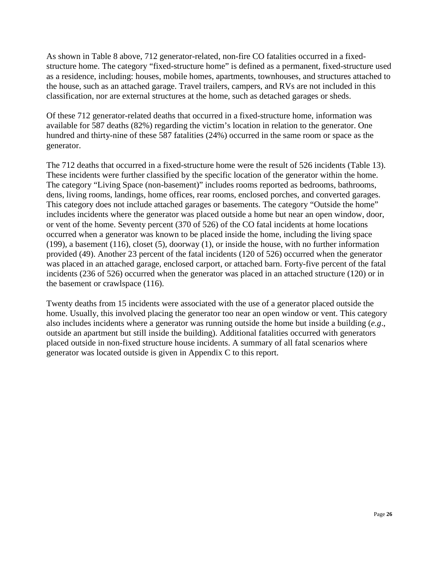As shown in Table 8 above, 712 generator-related, non-fire CO fatalities occurred in a fixedstructure home. The category "fixed-structure home" is defined as a permanent, fixed-structure used as a residence, including: houses, mobile homes, apartments, townhouses, and structures attached to the house, such as an attached garage. Travel trailers, campers, and RVs are not included in this classification, nor are external structures at the home, such as detached garages or sheds.

Of these 712 generator-related deaths that occurred in a fixed-structure home, information was available for 587 deaths (82%) regarding the victim's location in relation to the generator. One hundred and thirty-nine of these 587 fatalities (24%) occurred in the same room or space as the generator.

The 712 deaths that occurred in a fixed-structure home were the result of 526 incidents (Table 13). These incidents were further classified by the specific location of the generator within the home. The category "Living Space (non-basement)" includes rooms reported as bedrooms, bathrooms, dens, living rooms, landings, home offices, rear rooms, enclosed porches, and converted garages. This category does not include attached garages or basements. The category "Outside the home" includes incidents where the generator was placed outside a home but near an open window, door, or vent of the home. Seventy percent (370 of 526) of the CO fatal incidents at home locations occurred when a generator was known to be placed inside the home, including the living space (199), a basement (116), closet (5), doorway (1), or inside the house, with no further information provided (49). Another 23 percent of the fatal incidents (120 of 526) occurred when the generator was placed in an attached garage, enclosed carport, or attached barn. Forty-five percent of the fatal incidents (236 of 526) occurred when the generator was placed in an attached structure (120) or in the basement or crawlspace (116).

Twenty deaths from 15 incidents were associated with the use of a generator placed outside the home. Usually, this involved placing the generator too near an open window or vent. This category also includes incidents where a generator was running outside the home but inside a building (*e.g*., outside an apartment but still inside the building). Additional fatalities occurred with generators placed outside in non-fixed structure house incidents. A summary of all fatal scenarios where generator was located outside is given in Appendix C to this report.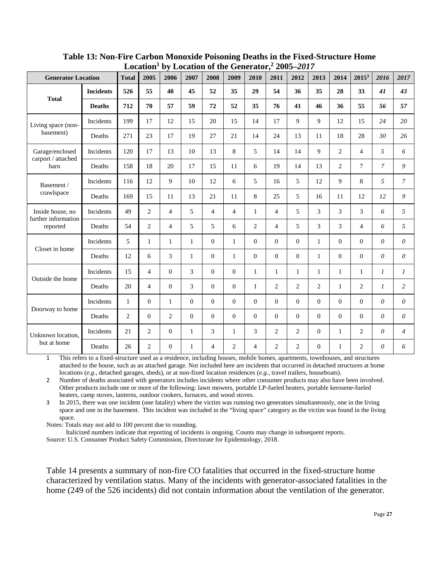| Lucativii<br>by Location of the Generator, $2005 - 2017$ |                  |                |                |                |                |                |                |                |                |                  |                |                |                |                       |                |
|----------------------------------------------------------|------------------|----------------|----------------|----------------|----------------|----------------|----------------|----------------|----------------|------------------|----------------|----------------|----------------|-----------------------|----------------|
| <b>Generator Location</b>                                |                  | <b>Total</b>   | 2005           | 2006           | 2007           | 2008           | 2009           | 2010           | 2011           | 2012             | 2013           | 2014           | $2015^3$       | 2016                  | 2017           |
|                                                          | <b>Incidents</b> | 526            | 55             | 40             | 45             | 52             | 35             | 29             | 54             | 36               | 35             | 28             | 33             | 41                    | 43             |
| <b>Total</b>                                             | <b>Deaths</b>    | 712            | 70             | 57             | 59             | 72             | 52             | 35             | 76             | 41               | 46             | 36             | 55             | 56                    | 57             |
| Living space (non-                                       | Incidents        | 199            | 17             | 12             | 15             | 20             | 15             | 14             | 17             | 9                | 9              | 12             | 15             | 24                    | 20             |
| basement)                                                | Deaths           | 271            | 23             | 17             | 19             | 27             | 21             | 14             | 24             | 13               | 11             | 18             | 28             | 30                    | 26             |
| Garage/enclosed                                          | Incidents        | 120            | 17             | 13             | 10             | 13             | 8              | 5              | 14             | 14               | 9              | $\overline{2}$ | $\overline{4}$ | 5                     | 6              |
| carport / attached<br>barn                               | Deaths           | 158            | 18             | 20             | 17             | 15             | 11             | 6              | 19             | 14               | 13             | $\overline{2}$ | $\overline{7}$ | $\overline{7}$        | 9              |
| Basement /<br>crawlspace                                 | Incidents        | 116            | 12             | 9              | 10             | 12             | 6              | 5              | 16             | 5                | 12             | 9              | 8              | 5                     | $\mathcal{I}$  |
|                                                          | Deaths           | 169            | 15             | 11             | 13             | 21             | 11             | 8              | 25             | 5                | 16             | 11             | 12             | 12                    | 9              |
| Inside house, no                                         | Incidents        | 49             | 2              | $\overline{4}$ | 5              | $\overline{4}$ | $\overline{4}$ | $\mathbf{1}$   | $\overline{4}$ | 5                | 3              | 3              | 3              | 6                     | 5              |
| further information<br>reported                          | Deaths           | 54             | 2              | $\overline{4}$ | 5              | 5              | 6              | $\overline{2}$ | $\overline{4}$ | 5                | 3              | 3              | $\overline{4}$ | 6                     | 5              |
|                                                          | Incidents        | 5              | $\mathbf{1}$   | $\mathbf{1}$   | $\mathbf{1}$   | $\overline{0}$ | 1              | $\mathbf{0}$   | $\overline{0}$ | $\mathbf{0}$     | $\mathbf{1}$   | $\Omega$       | $\theta$       | $\theta$              | $\theta$       |
| Closet in home                                           | Deaths           | 12             | 6              | 3              | 1              | $\overline{0}$ | 1              | $\mathbf{0}$   | $\overline{0}$ | $\mathbf{0}$     | $\mathbf{1}$   | $\Omega$       | $\Omega$       | $\theta$              | $\theta$       |
|                                                          | Incidents        | 15             | $\overline{4}$ | $\overline{0}$ | 3              | $\overline{0}$ | $\mathbf{0}$   | $\mathbf{1}$   | $\mathbf{1}$   | 1                | $\mathbf{1}$   | $\mathbf{1}$   | 1              | $\mathfrak{1}$        | $\mathcal{I}$  |
| Outside the home                                         | Deaths           | 20             | $\overline{4}$ | $\mathbf{0}$   | 3              | $\overline{0}$ | $\overline{0}$ | $\mathbf{1}$   | $\overline{c}$ | $\overline{c}$   | $\overline{2}$ | $\mathbf{1}$   | $\overline{2}$ | $\mathfrak{1}$        | $\overline{c}$ |
|                                                          | Incidents        | $\mathbf{1}$   | $\overline{0}$ | $\mathbf{1}$   | $\overline{0}$ | $\overline{0}$ | $\overline{0}$ | $\theta$       | $\mathbf{0}$   | $\mathbf{0}$     | $\theta$       | $\mathbf{0}$   | $\overline{0}$ | $\boldsymbol{\theta}$ | $\theta$       |
| Doorway to home                                          | Deaths           | $\overline{2}$ | $\overline{0}$ | $\overline{2}$ | $\overline{0}$ | $\overline{0}$ | $\theta$       | $\mathbf{0}$   | $\overline{0}$ | $\boldsymbol{0}$ | $\theta$       | $\mathbf{0}$   | $\overline{0}$ | $\theta$              | $\theta$       |
| Unknown location.                                        | Incidents        | 21             | $\overline{2}$ | $\theta$       | $\mathbf{1}$   | 3              | 1              | 3              | $\overline{2}$ | $\overline{c}$   | $\theta$       | $\mathbf{1}$   | $\overline{2}$ | $\theta$              | $\overline{4}$ |
| but at home                                              | Deaths           | 26             | $\overline{2}$ | $\mathbf{0}$   | 1              | $\overline{4}$ | $\overline{c}$ | $\overline{4}$ | $\mathbf{2}$   | $\overline{c}$   | $\theta$       | $\mathbf{1}$   | $\overline{2}$ | $\theta$              | 6              |

<span id="page-26-0"></span>**Table 13: Non-Fire Carbon Monoxide Poisoning Deaths in the Fixed-Structure Home Location1 by Location of the Generator, <sup>2</sup> 2005–***2017*

1 This refers to a fixed-structure used as a residence, including houses, mobile homes, apartments, townhouses, and structures attached to the house, such as an attached garage. Not included here are incidents that occurred in detached structures at home locations (*e.g.,* detached garages, sheds), or at non-fixed location residences (*e.g.,* travel trailers, houseboats).

2 Number of deaths associated with generators includes incidents where other consumer products may also have been involved. Other products include one or more of the following: lawn mowers, portable LP-fueled heaters, portable kerosene-fueled heaters, camp stoves, lanterns, outdoor cookers, furnaces, and wood stoves.

3 In 2015, there was one incident (one fatality) where the victim was running two generators simultaneously, one in the living space and one in the basement. This incident was included in the "living space" category as the victim was found in the living space.

Notes: Totals may not add to 100 percent due to rounding.

Italicized numbers indicate that reporting of incidents is ongoing. Counts may change in subsequent reports.

Source: U.S. Consumer Product Safety Commission, Directorate for Epidemiology, 2018.

Table 14 presents a summary of non-fire CO fatalities that occurred in the fixed-structure home characterized by ventilation status. Many of the incidents with generator-associated fatalities in the home (249 of the 526 incidents) did not contain information about the ventilation of the generator.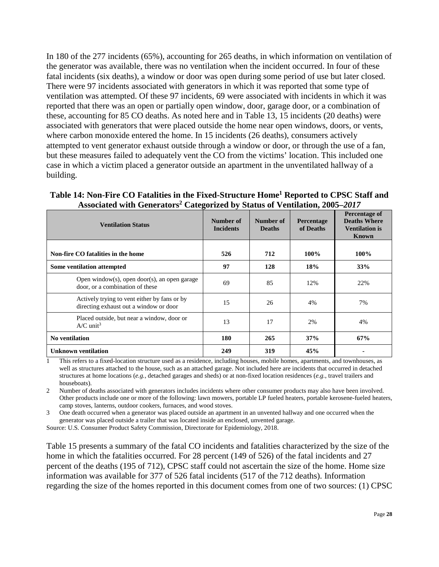In 180 of the 277 incidents (65%), accounting for 265 deaths, in which information on ventilation of the generator was available, there was no ventilation when the incident occurred. In four of these fatal incidents (six deaths), a window or door was open during some period of use but later closed. There were 97 incidents associated with generators in which it was reported that some type of ventilation was attempted. Of these 97 incidents, 69 were associated with incidents in which it was reported that there was an open or partially open window, door, garage door, or a combination of these, accounting for 85 CO deaths. As noted here and in Table 13, 15 incidents (20 deaths) were associated with generators that were placed outside the home near open windows, doors, or vents, where carbon monoxide entered the home. In 15 incidents (26 deaths), consumers actively attempted to vent generator exhaust outside through a window or door, or through the use of a fan, but these measures failed to adequately vent the CO from the victims' location. This included one case in which a victim placed a generator outside an apartment in the unventilated hallway of a building.

| <b>Ventilation Status</b>                                                              | Number of<br><b>Incidents</b> | Number of<br><b>Deaths</b> | <b>Percentage</b><br>of Deaths | Percentage of<br><b>Deaths Where</b><br><b>Ventilation is</b><br>Known |
|----------------------------------------------------------------------------------------|-------------------------------|----------------------------|--------------------------------|------------------------------------------------------------------------|
| Non-fire CO fatalities in the home                                                     | 526                           | 712                        | 100%                           | 100%                                                                   |
| Some ventilation attempted                                                             | 97                            | 128                        | 18%                            | 33%                                                                    |
| Open window(s), open door(s), an open garage<br>door, or a combination of these        | 69                            | 85                         | 12%                            | 22%                                                                    |
| Actively trying to vent either by fans or by<br>directing exhaust out a window or door | 15                            | 26                         | 4%                             | 7%                                                                     |
| Placed outside, but near a window, door or<br>$A/C$ unit <sup>3</sup>                  | 13                            | 17                         | 2%                             | 4%                                                                     |
| <b>No ventilation</b>                                                                  | 180                           | 265                        | 37%                            | 67%                                                                    |
| <b>Unknown ventilation</b>                                                             | 249                           | 319                        | 45%                            |                                                                        |

#### <span id="page-27-0"></span>**Table 14: Non-Fire CO Fatalities in the Fixed-Structure Home1 Reported to CPSC Staff and Associated with Generators2 Categorized by Status of Ventilation, 2005–***2017*

1 This refers to a fixed-location structure used as a residence, including houses, mobile homes, apartments, and townhouses, as well as structures attached to the house, such as an attached garage. Not included here are incidents that occurred in detached structures at home locations (*e.g.,* detached garages and sheds) or at non-fixed location residences (*e.g.*, travel trailers and houseboats).

2 Number of deaths associated with generators includes incidents where other consumer products may also have been involved. Other products include one or more of the following: lawn mowers, portable LP fueled heaters, portable kerosene-fueled heaters, camp stoves, lanterns, outdoor cookers, furnaces, and wood stoves.

3 One death occurred when a generator was placed outside an apartment in an unvented hallway and one occurred when the generator was placed outside a trailer that was located inside an enclosed, unvented garage.

Source: U.S. Consumer Product Safety Commission, Directorate for Epidemiology, 2018.

Table 15 presents a summary of the fatal CO incidents and fatalities characterized by the size of the home in which the fatalities occurred. For 28 percent (149 of 526) of the fatal incidents and 27 percent of the deaths (195 of 712), CPSC staff could not ascertain the size of the home. Home size information was available for 377 of 526 fatal incidents (517 of the 712 deaths). Information regarding the size of the homes reported in this document comes from one of two sources: (1) CPSC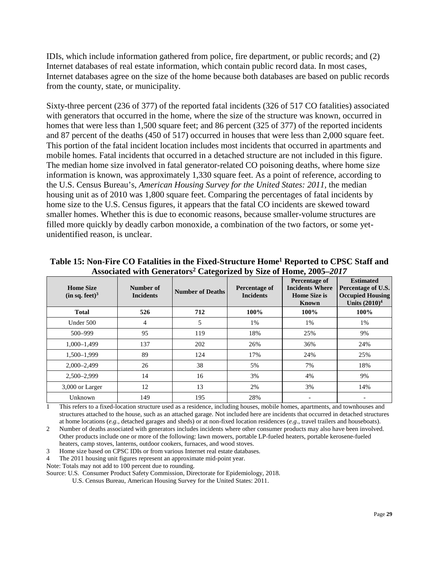IDIs, which include information gathered from police, fire department, or public records; and (2) Internet databases of real estate information, which contain public record data. In most cases, Internet databases agree on the size of the home because both databases are based on public records from the county, state, or municipality.

Sixty-three percent (236 of 377) of the reported fatal incidents (326 of 517 CO fatalities) associated with generators that occurred in the home, where the size of the structure was known, occurred in homes that were less than 1,500 square feet; and 86 percent (325 of 377) of the reported incidents and 87 percent of the deaths (450 of 517) occurred in houses that were less than 2,000 square feet. This portion of the fatal incident location includes most incidents that occurred in apartments and mobile homes. Fatal incidents that occurred in a detached structure are not included in this figure. The median home size involved in fatal generator-related CO poisoning deaths, where home size information is known, was approximately 1,330 square feet. As a point of reference, according to the U.S. Census Bureau's, *American Housing Survey for the United States: 2011,* the median housing unit as of 2010 was 1,800 square feet. Comparing the percentages of fatal incidents by home size to the U.S. Census figures, it appears that the fatal CO incidents are skewed toward smaller homes. Whether this is due to economic reasons, because smaller-volume structures are filled more quickly by deadly carbon monoxide, a combination of the two factors, or some yetunidentified reason, is unclear.

| <b>Home Size</b><br>(in sq. feet) <sup>3</sup> | Number of<br><b>Incidents</b> | <b>Number of Deaths</b> | Percentage of<br><b>Incidents</b> | Percentage of<br><b>Incidents Where</b><br><b>Home Size is</b><br><b>Known</b> | <b>Estimated</b><br>Percentage of U.S.<br><b>Occupied Housing</b><br>Units $(2010)^4$ |
|------------------------------------------------|-------------------------------|-------------------------|-----------------------------------|--------------------------------------------------------------------------------|---------------------------------------------------------------------------------------|
| <b>Total</b>                                   | 526                           | 712                     | 100%                              | 100%                                                                           | 100%                                                                                  |
| Under 500                                      | 4                             | 5                       | 1%                                | 1%                                                                             | 1%                                                                                    |
| 500-999                                        | 95                            | 119                     | 18%                               | 25%                                                                            | 9%                                                                                    |
| $1,000 - 1,499$                                | 137                           | 202                     | 26%                               | 36%                                                                            | 24%                                                                                   |
| 1,500-1,999                                    | 89                            | 124                     | 17%                               | 24%                                                                            | 25%                                                                                   |
| $2,000 - 2,499$                                | 26                            | 38                      | 5%                                | 7%                                                                             | 18%                                                                                   |
| 2,500-2,999                                    | 14                            | 16                      | 3%                                | 4%                                                                             | 9%                                                                                    |
| 3,000 or Larger                                | 12                            | 13                      | 2%                                | 3%                                                                             | 14%                                                                                   |
| Unknown                                        | 149                           | 195                     | 28%                               |                                                                                |                                                                                       |

<span id="page-28-0"></span>**Table 15: Non-Fire CO Fatalities in the Fixed-Structure Home1 Reported to CPSC Staff and Associated with Generators2 Categorized by Size of Home, 2005–***2017*

1 This refers to a fixed-location structure used as a residence, including houses, mobile homes, apartments, and townhouses and structures attached to the house, such as an attached garage. Not included here are incidents that occurred in detached structures at home locations (*e.g*., detached garages and sheds) or at non-fixed location residences (*e.g*., travel trailers and houseboats).

2 Number of deaths associated with generators includes incidents where other consumer products may also have been involved. Other products include one or more of the following: lawn mowers, portable LP-fueled heaters, portable kerosene-fueled heaters, camp stoves, lanterns, outdoor cookers, furnaces, and wood stoves.

3 Home size based on CPSC IDIs or from various Internet real estate databases*.*

4 The 2011 housing unit figures represent an approximate mid-point year.

Note: Totals may not add to 100 percent due to rounding.

Source: U.S. Consumer Product Safety Commission, Directorate for Epidemiology, 2018.

U.S. Census Bureau, American Housing Survey for the United States: 2011.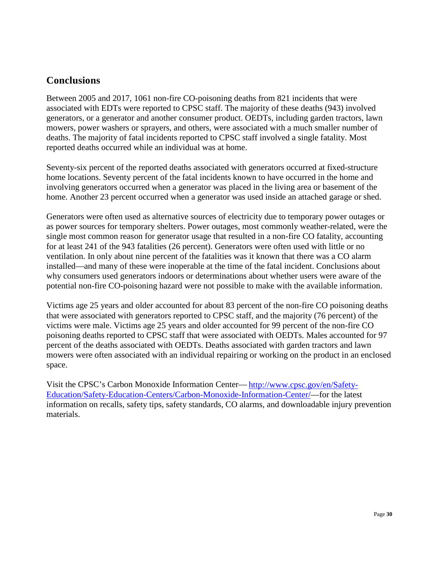## <span id="page-29-0"></span>**Conclusions**

Between 2005 and 2017, 1061 non-fire CO-poisoning deaths from 821 incidents that were associated with EDTs were reported to CPSC staff. The majority of these deaths (943) involved generators, or a generator and another consumer product. OEDTs, including garden tractors, lawn mowers, power washers or sprayers, and others, were associated with a much smaller number of deaths. The majority of fatal incidents reported to CPSC staff involved a single fatality. Most reported deaths occurred while an individual was at home.

Seventy-six percent of the reported deaths associated with generators occurred at fixed-structure home locations. Seventy percent of the fatal incidents known to have occurred in the home and involving generators occurred when a generator was placed in the living area or basement of the home. Another 23 percent occurred when a generator was used inside an attached garage or shed.

Generators were often used as alternative sources of electricity due to temporary power outages or as power sources for temporary shelters. Power outages, most commonly weather-related, were the single most common reason for generator usage that resulted in a non-fire CO fatality, accounting for at least 241 of the 943 fatalities (26 percent). Generators were often used with little or no ventilation. In only about nine percent of the fatalities was it known that there was a CO alarm installed—and many of these were inoperable at the time of the fatal incident. Conclusions about why consumers used generators indoors or determinations about whether users were aware of the potential non-fire CO-poisoning hazard were not possible to make with the available information.

Victims age 25 years and older accounted for about 83 percent of the non-fire CO poisoning deaths that were associated with generators reported to CPSC staff, and the majority (76 percent) of the victims were male. Victims age 25 years and older accounted for 99 percent of the non-fire CO poisoning deaths reported to CPSC staff that were associated with OEDTs. Males accounted for 97 percent of the deaths associated with OEDTs. Deaths associated with garden tractors and lawn mowers were often associated with an individual repairing or working on the product in an enclosed space.

Visit the CPSC's Carbon Monoxide Information Center— [http://www.cpsc.gov/en/Safety-](http://www.cpsc.gov/en/Safety-Education/Safety-Education-Centers/Carbon-Monoxide-Information-Center/)[Education/Safety-Education-Centers/Carbon-Monoxide-Information-Center/—](http://www.cpsc.gov/en/Safety-Education/Safety-Education-Centers/Carbon-Monoxide-Information-Center/)for the latest information on recalls, safety tips, safety standards, CO alarms, and downloadable injury prevention materials.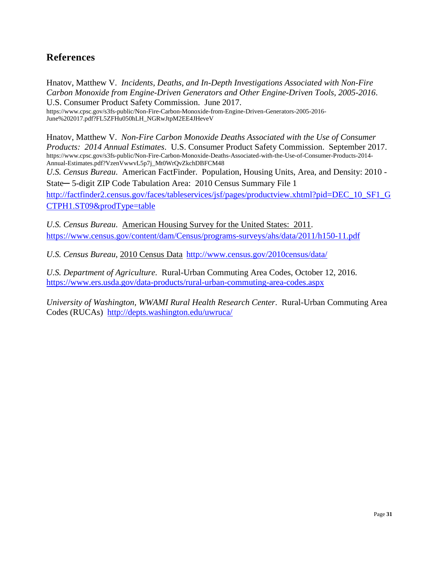# <span id="page-30-0"></span>**References**

Hnatov, Matthew V. *Incidents, Deaths, and In-Depth Investigations Associated with Non-Fire Carbon Monoxide from Engine-Driven Generators and Other Engine-Driven Tools, 2005-2016*. U.S. Consumer Product Safety Commission. June 2017. https://www.cpsc.gov/s3fs-public/Non-Fire-Carbon-Monoxide-from-Engine-Driven-Generators-2005-2016- June%202017.pdf?FL5ZFHu050hLH\_NGRwJtpM2EE4JHeveV

Hnatov, Matthew V. *Non-Fire Carbon Monoxide Deaths Associated with the Use of Consumer Products: 2014 Annual Estimates*. U.S. Consumer Product Safety Commission. September 2017. https://www.cpsc.gov/s3fs-public/Non-Fire-Carbon-Monoxide-Deaths-Associated-with-the-Use-of-Consumer-Products-2014- Annual-Estimates.pdf?VzenVwwvL5p7j\_Mt0WrQvZkchDBFCM48 *U.S. Census Bureau*. American FactFinder. Population, Housing Units, Area, and Density: 2010 - State─ 5-digit ZIP Code Tabulation Area: 2010 Census Summary File 1

[http://factfinder2.census.gov/faces/tableservices/jsf/pages/productview.xhtml?pid=DEC\\_10\\_SF1\\_G](http://factfinder2.census.gov/faces/tableservices/jsf/pages/productview.xhtml?pid=DEC_10_SF1_GCTPH1.ST09&prodType=table) [CTPH1.ST09&prodType=table](http://factfinder2.census.gov/faces/tableservices/jsf/pages/productview.xhtml?pid=DEC_10_SF1_GCTPH1.ST09&prodType=table)

*U.S. Census Bureau*. American Housing Survey for the United States: 2011. <https://www.census.gov/content/dam/Census/programs-surveys/ahs/data/2011/h150-11.pdf>

*U.S. Census Bureau,* 2010 Census Data <http://www.census.gov/2010census/data/>

*U.S. Department of Agriculture*. Rural-Urban Commuting Area Codes, October 12, 2016. <https://www.ers.usda.gov/data-products/rural-urban-commuting-area-codes.aspx>

*University of Washington, WWAMI Rural Health Research Center*. Rural-Urban Commuting Area Codes (RUCAs) <http://depts.washington.edu/uwruca/>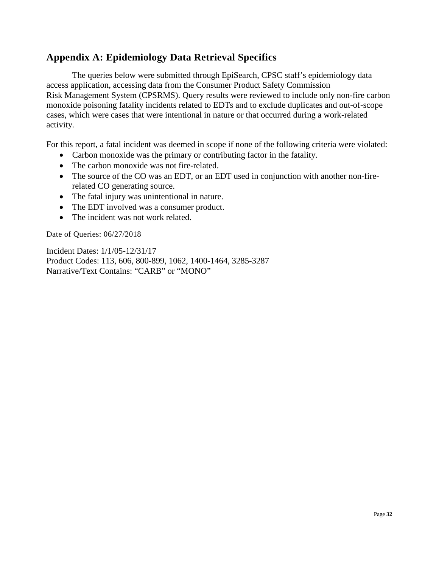## <span id="page-31-0"></span>**Appendix A: Epidemiology Data Retrieval Specifics**

The queries below were submitted through EpiSearch, CPSC staff's epidemiology data access application, accessing data from the Consumer Product Safety Commission Risk Management System (CPSRMS). Query results were reviewed to include only non-fire carbon monoxide poisoning fatality incidents related to EDTs and to exclude duplicates and out-of-scope cases, which were cases that were intentional in nature or that occurred during a work-related activity.

For this report, a fatal incident was deemed in scope if none of the following criteria were violated:

- Carbon monoxide was the primary or contributing factor in the fatality.
- The carbon monoxide was not fire-related.
- The source of the CO was an EDT, or an EDT used in conjunction with another non-firerelated CO generating source.
- The fatal injury was unintentional in nature.
- The EDT involved was a consumer product.
- The incident was not work related.

Date of Queries: 06/27/2018

Incident Dates: 1/1/05-12/31/17 Product Codes: 113, 606, 800-899, 1062, 1400-1464, 3285-3287 Narrative/Text Contains: "CARB" or "MONO"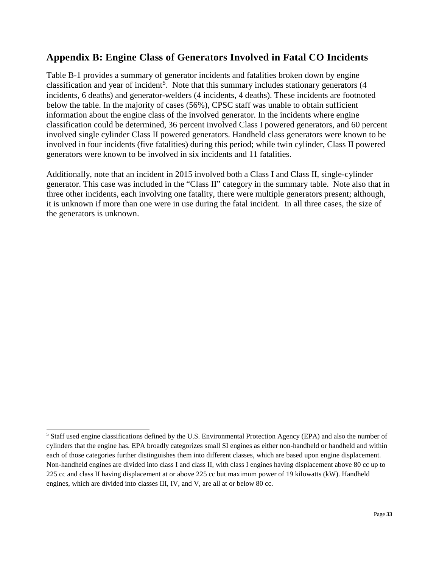## <span id="page-32-0"></span>**Appendix B: Engine Class of Generators Involved in Fatal CO Incidents**

Table B-1 provides a summary of generator incidents and fatalities broken down by engine classification and year of incident<sup>[5](#page-32-1)</sup>. Note that this summary includes stationary generators (4 incidents, 6 deaths) and generator-welders (4 incidents, 4 deaths). These incidents are footnoted below the table. In the majority of cases (56%), CPSC staff was unable to obtain sufficient information about the engine class of the involved generator. In the incidents where engine classification could be determined, 36 percent involved Class I powered generators, and 60 percent involved single cylinder Class II powered generators. Handheld class generators were known to be involved in four incidents (five fatalities) during this period; while twin cylinder, Class II powered generators were known to be involved in six incidents and 11 fatalities.

Additionally, note that an incident in 2015 involved both a Class I and Class II, single-cylinder generator. This case was included in the "Class II" category in the summary table. Note also that in three other incidents, each involving one fatality, there were multiple generators present; although, it is unknown if more than one were in use during the fatal incident. In all three cases, the size of the generators is unknown.

<span id="page-32-1"></span> <sup>5</sup> Staff used engine classifications defined by the U.S. Environmental Protection Agency (EPA) and also the number of cylinders that the engine has. EPA broadly categorizes small SI engines as either non-handheld or handheld and within each of those categories further distinguishes them into different classes, which are based upon engine displacement. Non-handheld engines are divided into class I and class II, with class I engines having displacement above 80 cc up to 225 cc and class II having displacement at or above 225 cc but maximum power of 19 kilowatts (kW). Handheld engines, which are divided into classes III, IV, and V, are all at or below 80 cc.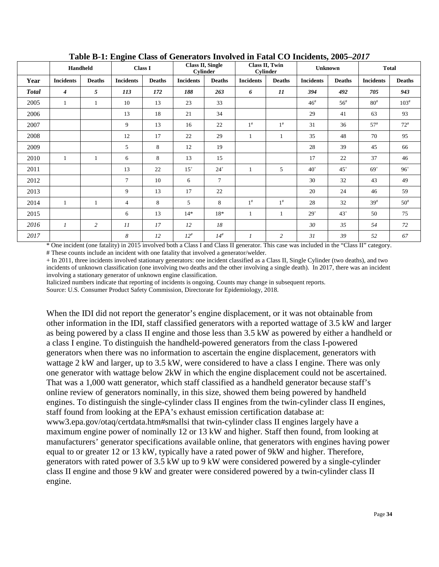|              | Handheld         |               | ె                | Class I       |                  | Class II, Single<br><b>Cylinder</b> |                  | Class II, Twin<br><b>Cylinder</b> |                  | Unknown           |                  |                                 |  | <b>Total</b> |  |
|--------------|------------------|---------------|------------------|---------------|------------------|-------------------------------------|------------------|-----------------------------------|------------------|-------------------|------------------|---------------------------------|--|--------------|--|
| Year         | <b>Incidents</b> | <b>Deaths</b> | <b>Incidents</b> | <b>Deaths</b> | <b>Incidents</b> | <b>Deaths</b>                       | <b>Incidents</b> | <b>Deaths</b>                     | <b>Incidents</b> | <b>Deaths</b>     | <b>Incidents</b> | <b>Deaths</b>                   |  |              |  |
| <b>Total</b> | $\boldsymbol{4}$ | 5             | 113              | 172           | 188              | 263                                 | 6                | 11                                | 394              | 492               | 705              | 943                             |  |              |  |
| 2005         | 1                |               | 10               | 13            | 23               | 33                                  |                  |                                   | $46^{\rm{*}}$    | $56$ <sup>#</sup> | $80^{\rm #}$     | $103^{\#}$                      |  |              |  |
| 2006         |                  |               | 13               | 18            | 21               | 34                                  |                  |                                   | 29               | 41                | 63               | 93                              |  |              |  |
| 2007         |                  |               | 9                | 13            | 16               | 22                                  | $1^{\#}$         | $1^{\#}$                          | 31               | 36                | $57^{\#}$        | $72^{\rm \scriptscriptstyle H}$ |  |              |  |
| 2008         |                  |               | 12               | 17            | 22               | 29                                  | $\mathbf{1}$     | 1                                 | 35               | 48                | 70               | 95                              |  |              |  |
| 2009         |                  |               | 5                | 8             | 12               | 19                                  |                  |                                   | 28               | 39                | 45               | 66                              |  |              |  |
| 2010         | 1                |               | 6                | 8             | 13               | 15                                  |                  |                                   | 17               | 22                | 37               | 46                              |  |              |  |
| 2011         |                  |               | 13               | 22            | $15^{+}$         | $24^{+}$                            | 1                | 5                                 | $40^{\circ}$     | $45+$             | $69+$            | $96^{+}$                        |  |              |  |
| 2012         |                  |               | $\overline{7}$   | 10            | 6                | $\tau$                              |                  |                                   | 30               | 32                | 43               | 49                              |  |              |  |
| 2013         |                  |               | 9                | 13            | 17               | 22                                  |                  |                                   | 20               | 24                | 46               | 59                              |  |              |  |
| 2014         | 1                |               | $\overline{4}$   | 8             | 5                | 8                                   | $1^{\#}$         | $1^{\#}$                          | 28               | 32                | $39^{\#}$        | $50^{\rm #}$                    |  |              |  |
| 2015         |                  |               | 6                | 13            | $14*$            | 18*                                 | 1                |                                   | $29^{+}$         | $43+$             | 50               | 75                              |  |              |  |
| 2016         | $\mathcal{I}$    | 2             | 11               | 17            | 12               | 18                                  |                  |                                   | 30               | 35                | 54               | 72                              |  |              |  |
| 2017         |                  |               | 8                | 12            | $12^{#}$         | $14$ <sup>#</sup>                   | $\mathfrak{1}$   | $\overline{c}$                    | 31               | 39                | 52               | 67                              |  |              |  |

<span id="page-33-0"></span>**Table B-1: Engine Class of Generators Involved in Fatal CO Incidents, 2005–***2017*

\* One incident (one fatality) in 2015 involved both a Class I and Class II generator. This case was included in the "Class II" category. # These counts include an incident with one fatality that involved a generator/welder.

+ In 2011, three incidents involved stationary generators: one incident classified as a Class II, Single Cylinder (two deaths), and two incidents of unknown classification (one involving two deaths and the other involving a single death). In 2017, there was an incident involving a stationary generator of unknown engine classification.

Italicized numbers indicate that reporting of incidents is ongoing. Counts may change in subsequent reports.

Source: U.S. Consumer Product Safety Commission, Directorate for Epidemiology, 2018.

When the IDI did not report the generator's engine displacement, or it was not obtainable from other information in the IDI, staff classified generators with a reported wattage of 3.5 kW and larger as being powered by a class II engine and those less than 3.5 kW as powered by either a handheld or a class I engine. To distinguish the handheld-powered generators from the class I-powered generators when there was no information to ascertain the engine displacement, generators with wattage 2 kW and larger, up to 3.5 kW, were considered to have a class I engine. There was only one generator with wattage below 2kW in which the engine displacement could not be ascertained. That was a 1,000 watt generator, which staff classified as a handheld generator because staff's online review of generators nominally, in this size, showed them being powered by handheld engines. To distinguish the single-cylinder class II engines from the twin-cylinder class II engines, staff found from looking at the EPA's exhaust emission certification database at: www3.epa.gov/otaq/certdata.htm#smallsi that twin-cylinder class II engines largely have a maximum engine power of nominally 12 or 13 kW and higher. Staff then found, from looking at manufacturers' generator specifications available online, that generators with engines having power equal to or greater 12 or 13 kW, typically have a rated power of 9kW and higher. Therefore, generators with rated power of 3.5 kW up to 9 kW were considered powered by a single-cylinder class II engine and those 9 kW and greater were considered powered by a twin-cylinder class II engine.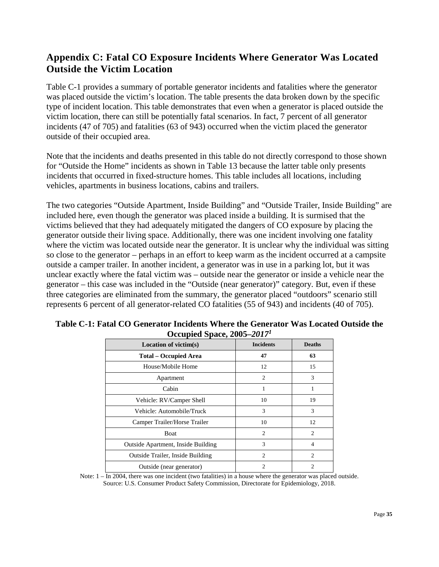# <span id="page-34-0"></span>**Appendix C: Fatal CO Exposure Incidents Where Generator Was Located Outside the Victim Location**

Table C-1 provides a summary of portable generator incidents and fatalities where the generator was placed outside the victim's location. The table presents the data broken down by the specific type of incident location. This table demonstrates that even when a generator is placed outside the victim location, there can still be potentially fatal scenarios. In fact, 7 percent of all generator incidents (47 of 705) and fatalities (63 of 943) occurred when the victim placed the generator outside of their occupied area.

Note that the incidents and deaths presented in this table do not directly correspond to those shown for "Outside the Home" incidents as shown in Table 13 because the latter table only presents incidents that occurred in fixed-structure homes. This table includes all locations, including vehicles, apartments in business locations, cabins and trailers.

The two categories "Outside Apartment, Inside Building" and "Outside Trailer, Inside Building" are included here, even though the generator was placed inside a building. It is surmised that the victims believed that they had adequately mitigated the dangers of CO exposure by placing the generator outside their living space. Additionally, there was one incident involving one fatality where the victim was located outside near the generator. It is unclear why the individual was sitting so close to the generator – perhaps in an effort to keep warm as the incident occurred at a campsite outside a camper trailer. In another incident, a generator was in use in a parking lot, but it was unclear exactly where the fatal victim was – outside near the generator or inside a vehicle near the generator – this case was included in the "Outside (near generator)" category. But, even if these three categories are eliminated from the summary, the generator placed "outdoors" scenario still represents 6 percent of all generator-related CO fatalities (55 of 943) and incidents (40 of 705).

| Location of victim(s)                     | <b>Incidents</b> | <b>Deaths</b>  |
|-------------------------------------------|------------------|----------------|
| <b>Total – Occupied Area</b>              | 47               | 63             |
| House/Mobile Home                         | 12               | 15             |
| Apartment                                 | $\overline{c}$   | 3              |
| Cabin                                     |                  |                |
| Vehicle: RV/Camper Shell                  | 10               | 19             |
| Vehicle: Automobile/Truck                 | 3                | 3              |
| Camper Trailer/Horse Trailer              | 10               | 12             |
| Boat                                      | $\overline{c}$   | $\overline{c}$ |
| <b>Outside Apartment, Inside Building</b> | 3                | 4              |
| Outside Trailer, Inside Building          | $\overline{c}$   | $\overline{c}$ |
| Outside (near generator)                  | $\mathfrak{D}$   | $\mathfrak{D}$ |

<span id="page-34-1"></span>**Table C-1: Fatal CO Generator Incidents Where the Generator Was Located Outside the Occupied Space, 2005–***20171*

Note:  $1 - \text{In } 2004$ , there was one incident (two fatalities) in a house where the generator was placed outside. Source: U.S. Consumer Product Safety Commission, Directorate for Epidemiology, 2018.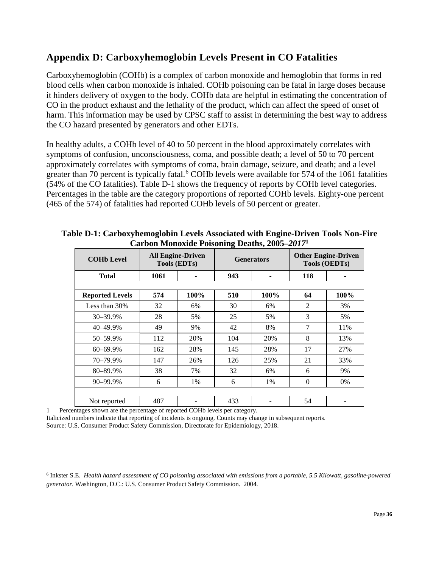## <span id="page-35-0"></span>**Appendix D: Carboxyhemoglobin Levels Present in CO Fatalities**

Carboxyhemoglobin (COHb) is a complex of carbon monoxide and hemoglobin that forms in red blood cells when carbon monoxide is inhaled. COHb poisoning can be fatal in large doses because it hinders delivery of oxygen to the body. COHb data are helpful in estimating the concentration of CO in the product exhaust and the lethality of the product, which can affect the speed of onset of harm. This information may be used by CPSC staff to assist in determining the best way to address the CO hazard presented by generators and other EDTs.

In healthy adults, a COHb level of 40 to 50 percent in the blood approximately correlates with symptoms of confusion, unconsciousness, coma, and possible death; a level of 50 to 70 percent approximately correlates with symptoms of coma, brain damage, seizure, and death; and a level greater than 70 percent is typically fatal.<sup>[6](#page-35-2)</sup> COHb levels were available for 574 of the 1061 fatalities (54% of the CO fatalities). Table D-1 shows the frequency of reports by COHb level categories. Percentages in the table are the category proportions of reported COHb levels. Eighty-one percent (465 of the 574) of fatalities had reported COHb levels of 50 percent or greater.

| <b>COHb Level</b>                                                                                      |      | <b>All Engine-Driven</b><br><b>Tools (EDTs)</b> | o   | <b>Generators</b> | <b>Other Engine-Driven</b><br><b>Tools (OEDTs)</b> |      |  |
|--------------------------------------------------------------------------------------------------------|------|-------------------------------------------------|-----|-------------------|----------------------------------------------------|------|--|
| <b>Total</b>                                                                                           | 1061 | 943                                             |     |                   | 118                                                |      |  |
|                                                                                                        |      |                                                 |     |                   |                                                    |      |  |
| <b>Reported Levels</b>                                                                                 | 574  | 100%                                            | 510 | 100%              | 64                                                 | 100% |  |
| Less than 30%                                                                                          | 32   | 6%                                              | 30  | 6%                | $\overline{2}$                                     | 3%   |  |
| 30-39.9%                                                                                               | 28   | 5%                                              | 25  | 5%                | 3                                                  | 5%   |  |
| 40-49.9%                                                                                               | 49   | 9%                                              | 42  | 8%                | $\overline{7}$                                     | 11%  |  |
| 50-59.9%                                                                                               | 112  | 20%                                             | 104 | 20%               | 8                                                  | 13%  |  |
| 60-69.9%                                                                                               | 162  | 28%                                             | 145 | 28%               | 17                                                 | 27%  |  |
| 70-79.9%                                                                                               | 147  | 26%                                             | 126 | 25%               | 21                                                 | 33%  |  |
| 80-89.9%                                                                                               | 38   | 7%                                              | 32  | 6%                | 6                                                  | 9%   |  |
| 90-99.9%                                                                                               | 6    | 1%                                              | 6   | 1%                | $\Omega$                                           | 0%   |  |
|                                                                                                        |      |                                                 |     |                   |                                                    |      |  |
| Not reported<br>$\mathcal{L}$ . The compact the construction of constructed COII levels are set of any | 487  |                                                 | 433 |                   | 54                                                 |      |  |

## <span id="page-35-1"></span>**Table D-1: Carboxyhemoglobin Levels Associated with Engine-Driven Tools Non-Fire Carbon Monoxide Poisoning Deaths, 2005–***2017***<sup>1</sup>**

1 Percentages shown are the percentage of reported COHb levels per category.

Italicized numbers indicate that reporting of incidents is ongoing. Counts may change in subsequent reports.

Source: U.S. Consumer Product Safety Commission, Directorate for Epidemiology, 2018.

<span id="page-35-2"></span> <sup>6</sup> Inkster S.E. *Health hazard assessment of CO poisoning associated with emissions from a portable, 5.5 Kilowatt, gasoline-powered generator*. Washington, D.C.: U.S. Consumer Product Safety Commission. 2004.